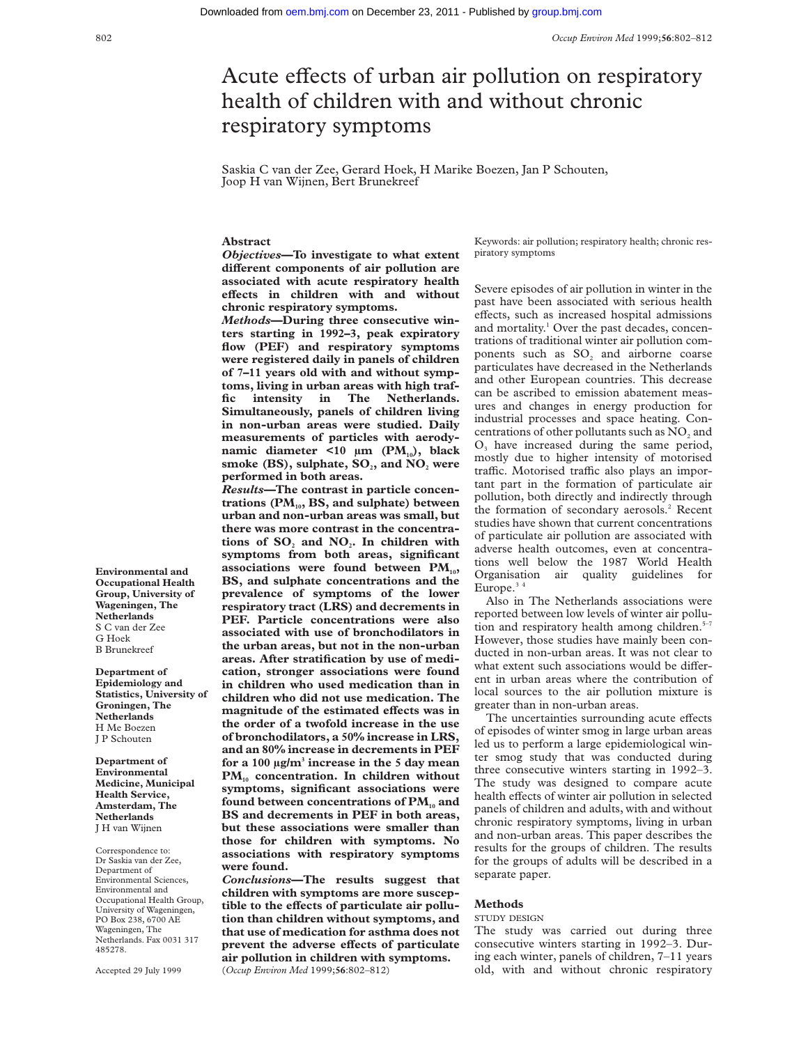# Acute effects of urban air pollution on respiratory health of children with and without chronic respiratory symptoms

Saskia C van der Zee, Gerard Hoek, H Marike Boezen, Jan P Schouten, Joop H van Wijnen, Bert Brunekreef

# **Abstract**

*Objectives***—To investigate to what extent** different components of air pollution are **associated with acute respiratory health** effects in children with and without **chronic respiratory symptoms.**

*Methods***—During three consecutive winters starting in 1992–3, peak expiratory flow (PEF) and respiratory symptoms were registered daily in panels of children of 7–11 years old with and without symptoms, living in urban areas with high traffic intensity in The Netherlands. Simultaneously, panels of children living in non-urban areas were studied. Daily measurements of particles with aerodynamic diameter <10 μm (PM<sub>10</sub>), black** smoke (BS), sulphate, SO<sub>2</sub>, and NO<sub>2</sub> were **performed in both areas.**

*Results—***The contrast in particle concen**trations (PM<sub>10</sub>, BS, and sulphate) between **urban and non-urban areas was small, but there was more contrast in the concentra**tions of SO<sub>2</sub> and NO<sub>2</sub>. In children with **symptoms from both areas, significant** associations were found between PM<sub>10</sub>, **BS, and sulphate concentrations and the prevalence of symptoms of the lower respiratory tract (LRS) and decrements in PEF. Particle concentrations were also associated with use of bronchodilators in the urban areas, but not in the non-urban areas. After stratification by use of medication, stronger associations were found in children who used medication than in children who did not use medication. The** magnitude of the estimated effects was in **the order of a twofold increase in the use of bronchodilators, a 50% increase in LRS, and an 80% increase in decrements in PEF for a 100 µg/m3 increase in the 5 day mean** PM<sub>10</sub> concentration. In children without **symptoms, significant associations were** found between concentrations of PM<sub>10</sub> and **BS and decrements in PEF in both areas, but these associations were smaller than those for children with symptoms. No associations with respiratory symptoms were found.**

*Conclusions***—The results suggest that children with symptoms are more suscep**tible to the effects of particulate air pollu**tion than children without symptoms, and that use of medication for asthma does not** prevent the adverse effects of particulate **air pollution in children with symptoms.** (*Occup Environ Med* 1999;**56**:802–812)

Keywords: air pollution; respiratory health; chronic respiratory symptoms

Severe episodes of air pollution in winter in the past have been associated with serious health effects, such as increased hospital admissions and mortality.<sup>1</sup> Over the past decades, concentrations of traditional winter air pollution components such as  $SO_2$  and airborne coarse particulates have decreased in the Netherlands and other European countries. This decrease can be ascribed to emission abatement measures and changes in energy production for industrial processes and space heating. Concentrations of other pollutants such as  $NO<sub>2</sub>$  and  $O<sub>3</sub>$  have increased during the same period, mostly due to higher intensity of motorised traffic. Motorised traffic also plays an important part in the formation of particulate air pollution, both directly and indirectly through the formation of secondary aerosols.<sup>2</sup> Recent studies have shown that current concentrations of particulate air pollution are associated with adverse health outcomes, even at concentrations well below the 1987 World Health Organisation air quality guidelines for Europe. $34$ 

Also in The Netherlands associations were reported between low levels of winter air pollution and respiratory health among children. $5-7$ However, those studies have mainly been conducted in non-urban areas. It was not clear to what extent such associations would be different in urban areas where the contribution of local sources to the air pollution mixture is greater than in non-urban areas.

The uncertainties surrounding acute effects of episodes of winter smog in large urban areas led us to perform a large epidemiological winter smog study that was conducted during three consecutive winters starting in 1992–3. The study was designed to compare acute health effects of winter air pollution in selected panels of children and adults, with and without chronic respiratory symptoms, living in urban and non-urban areas. This paper describes the results for the groups of children. The results for the groups of adults will be described in a separate paper.

# **Methods**

### STUDY DESIGN

The study was carried out during three consecutive winters starting in 1992–3. During each winter, panels of children, 7–11 years old, with and without chronic respiratory

**Environmental and Occupational Health Group, University of Wageningen, The Netherlands** S C van der Zee G Hoek B Brunekreef

**Department of Epidemiology and Statistics, University of Groningen, The Netherlands** H Me Boezen J P Schouten

**Department of Environmental Medicine, Municipal Health Service, Amsterdam, The Netherlands** J H van Wijnen

Correspondence to: Dr Saskia van der Zee, Department of Environmental Sciences, Environmental and Occupational Health Group, University of Wageningen, PO Box 238, 6700 AE Wageningen, The Netherlands. Fax 0031 317 485278.

Accepted 29 July 1999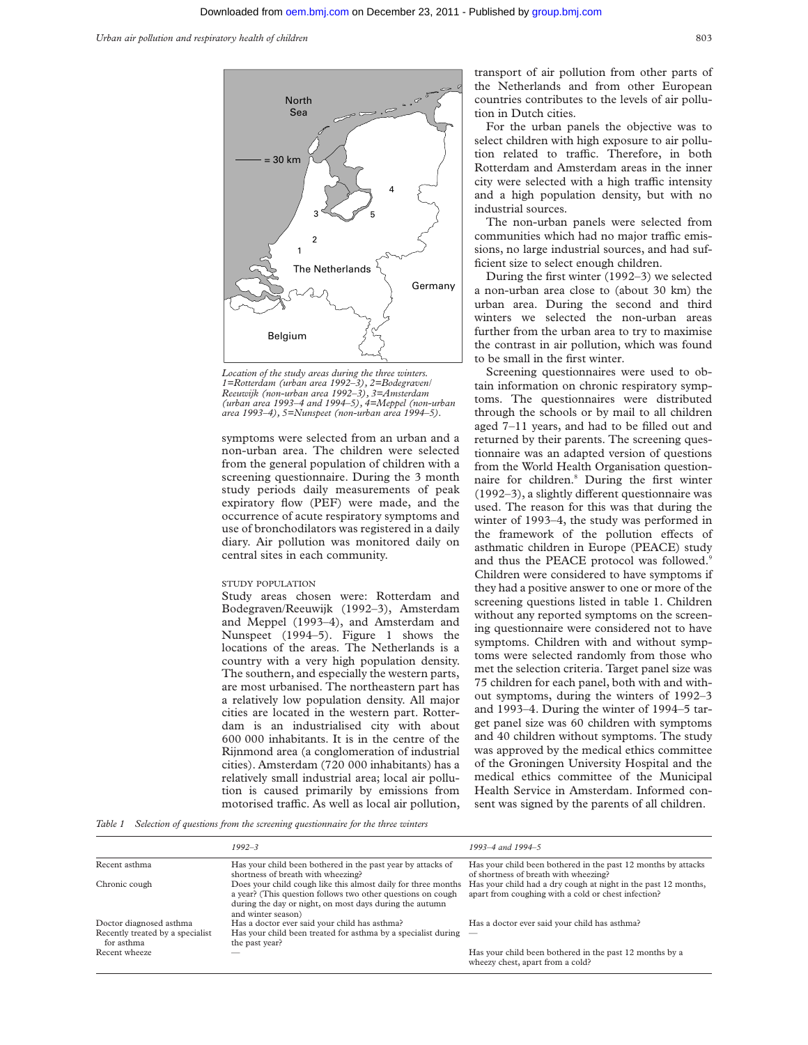

*Location of the study areas during the three winters. 1=Rotterdam (urban area 1992–3), 2=Bodegraven/ Reeuwijk (non-urban area 1992–3), 3=Amsterdam (urban area 1993–4 and 1994–5), 4=Meppel (non-urban area 1993–4), 5=Nunspeet (non-urban area 1994–5).*

symptoms were selected from an urban and a non-urban area. The children were selected from the general population of children with a screening questionnaire. During the 3 month study periods daily measurements of peak expiratory flow (PEF) were made, and the occurrence of acute respiratory symptoms and use of bronchodilators was registered in a daily diary. Air pollution was monitored daily on central sites in each community.

#### STUDY POPULATION

Study areas chosen were: Rotterdam and Bodegraven/Reeuwijk (1992–3), Amsterdam and Meppel (1993–4), and Amsterdam and Nunspeet (1994–5). Figure 1 shows the locations of the areas. The Netherlands is a country with a very high population density. The southern, and especially the western parts, are most urbanised. The northeastern part has a relatively low population density. All major cities are located in the western part. Rotterdam is an industrialised city with about 600 000 inhabitants. It is in the centre of the Rijnmond area (a conglomeration of industrial cities). Amsterdam (720 000 inhabitants) has a relatively small industrial area; local air pollution is caused primarily by emissions from motorised traffic. As well as local air pollution,

transport of air pollution from other parts of the Netherlands and from other European countries contributes to the levels of air pollution in Dutch cities.

For the urban panels the objective was to select children with high exposure to air pollution related to traffic. Therefore, in both Rotterdam and Amsterdam areas in the inner city were selected with a high traffic intensity and a high population density, but with no industrial sources.

The non-urban panels were selected from communities which had no major traffic emissions, no large industrial sources, and had sufficient size to select enough children.

During the first winter (1992–3) we selected a non-urban area close to (about 30 km) the urban area. During the second and third winters we selected the non-urban areas further from the urban area to try to maximise the contrast in air pollution, which was found to be small in the first winter.

Screening questionnaires were used to obtain information on chronic respiratory symptoms. The questionnaires were distributed through the schools or by mail to all children aged 7–11 years, and had to be filled out and returned by their parents. The screening questionnaire was an adapted version of questions from the World Health Organisation questionnaire for children.<sup>8</sup> During the first winter  $(1992-3)$ , a slightly different questionnaire was used. The reason for this was that during the winter of 1993–4, the study was performed in the framework of the pollution effects of asthmatic children in Europe (PEACE) study and thus the PEACE protocol was followed.<sup>9</sup> Children were considered to have symptoms if they had a positive answer to one or more of the screening questions listed in table 1. Children without any reported symptoms on the screening questionnaire were considered not to have symptoms. Children with and without symptoms were selected randomly from those who met the selection criteria. Target panel size was 75 children for each panel, both with and without symptoms, during the winters of 1992–3 and 1993–4. During the winter of 1994–5 target panel size was 60 children with symptoms and 40 children without symptoms. The study was approved by the medical ethics committee of the Groningen University Hospital and the medical ethics committee of the Municipal Health Service in Amsterdam. Informed consent was signed by the parents of all children.

*Table 1 Selection of questions from the screening questionnaire for the three winters*

|                                                | $1992 - 3$                                                                                                                                                                                                    | 1993–4 and 1994–5                                                                                                     |
|------------------------------------------------|---------------------------------------------------------------------------------------------------------------------------------------------------------------------------------------------------------------|-----------------------------------------------------------------------------------------------------------------------|
| Recent asthma                                  | Has your child been bothered in the past year by attacks of<br>shortness of breath with wheezing?                                                                                                             | Has your child been bothered in the past 12 months by attacks<br>of shortness of breath with wheezing?                |
| Chronic cough                                  | Does your child cough like this almost daily for three months<br>a year? (This question follows two other questions on cough<br>during the day or night, on most days during the autumn<br>and winter season) | Has your child had a dry cough at night in the past 12 months,<br>apart from coughing with a cold or chest infection? |
| Doctor diagnosed asthma                        | Has a doctor ever said your child has asthma?                                                                                                                                                                 | Has a doctor ever said your child has asthma?                                                                         |
| Recently treated by a specialist<br>for asthma | Has your child been treated for asthma by a specialist during $\phantom{0}$ -<br>the past year?                                                                                                               |                                                                                                                       |
| Recent wheeze                                  |                                                                                                                                                                                                               | Has your child been bothered in the past 12 months by a<br>wheezy chest, apart from a cold?                           |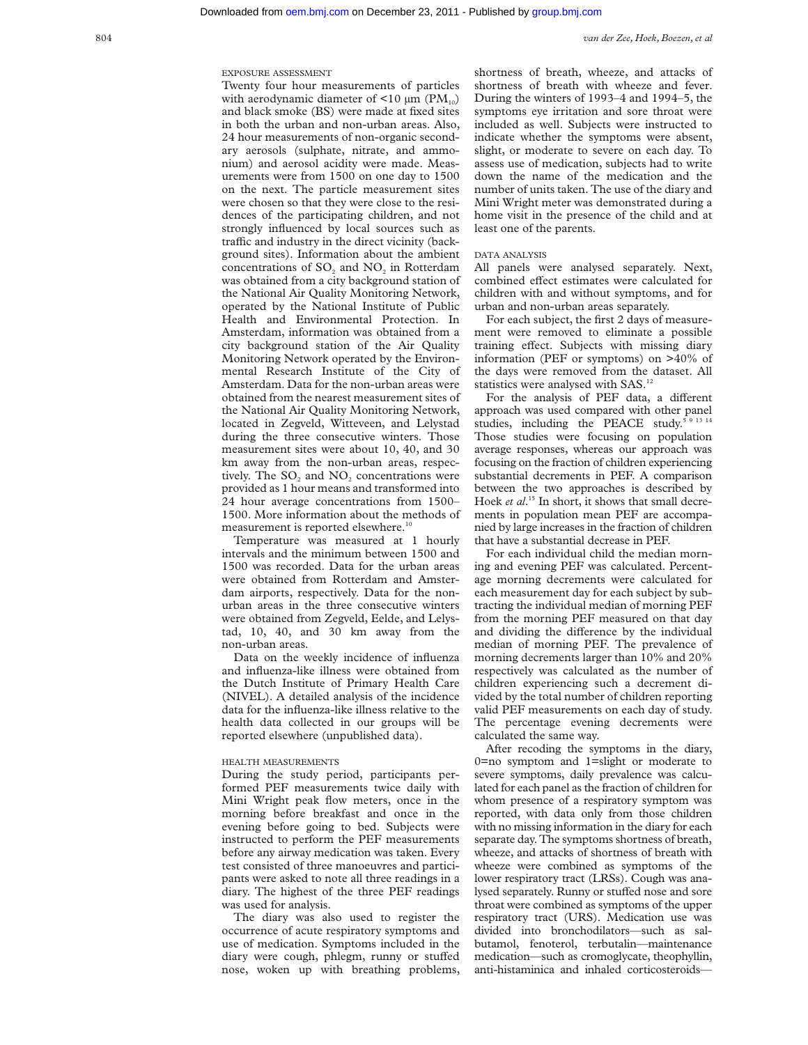EXPOSURE ASSESSMENT

Twenty four hour measurements of particles with aerodynamic diameter of  $\leq 10 \text{ µm}$  (PM<sub>10</sub>) and black smoke (BS) were made at fixed sites in both the urban and non-urban areas. Also, 24 hour measurements of non-organic secondary aerosols (sulphate, nitrate, and ammonium) and aerosol acidity were made. Measurements were from 1500 on one day to 1500 on the next. The particle measurement sites were chosen so that they were close to the residences of the participating children, and not strongly influenced by local sources such as traffic and industry in the direct vicinity (background sites). Information about the ambient concentrations of SO<sub>2</sub> and NO<sub>2</sub> in Rotterdam was obtained from a city background station of the National Air Quality Monitoring Network, operated by the National Institute of Public Health and Environmental Protection. In Amsterdam, information was obtained from a city background station of the Air Quality Monitoring Network operated by the Environmental Research Institute of the City of Amsterdam. Data for the non-urban areas were obtained from the nearest measurement sites of the National Air Quality Monitoring Network, located in Zegveld, Witteveen, and Lelystad during the three consecutive winters. Those measurement sites were about 10, 40, and 30 km away from the non-urban areas, respectively. The SO<sub>2</sub> and NO<sub>2</sub> concentrations were provided as 1 hour means and transformed into 24 hour average concentrations from 1500– 1500. More information about the methods of measurement is reported elsewhere.<sup>10</sup>

Temperature was measured at 1 hourly intervals and the minimum between 1500 and 1500 was recorded. Data for the urban areas were obtained from Rotterdam and Amsterdam airports, respectively. Data for the nonurban areas in the three consecutive winters were obtained from Zegveld, Eelde, and Lelystad, 10, 40, and 30 km away from the non-urban areas.

Data on the weekly incidence of influenza and influenza-like illness were obtained from the Dutch Institute of Primary Health Care (NIVEL). A detailed analysis of the incidence data for the influenza-like illness relative to the health data collected in our groups will be reported elsewhere (unpublished data).

### HEALTH MEASUREMENTS

During the study period, participants performed PEF measurements twice daily with Mini Wright peak flow meters, once in the morning before breakfast and once in the evening before going to bed. Subjects were instructed to perform the PEF measurements before any airway medication was taken. Every test consisted of three manoeuvres and participants were asked to note all three readings in a diary. The highest of the three PEF readings was used for analysis.

The diary was also used to register the occurrence of acute respiratory symptoms and use of medication. Symptoms included in the diary were cough, phlegm, runny or stuffed nose, woken up with breathing problems, shortness of breath, wheeze, and attacks of shortness of breath with wheeze and fever. During the winters of 1993–4 and 1994–5, the symptoms eye irritation and sore throat were included as well. Subjects were instructed to indicate whether the symptoms were absent, slight, or moderate to severe on each day. To assess use of medication, subjects had to write down the name of the medication and the number of units taken. The use of the diary and Mini Wright meter was demonstrated during a home visit in the presence of the child and at least one of the parents.

# DATA ANALYSIS

All panels were analysed separately. Next, combined effect estimates were calculated for children with and without symptoms, and for urban and non-urban areas separately.

For each subject, the first 2 days of measurement were removed to eliminate a possible training effect. Subjects with missing diary information (PEF or symptoms) on >40% of the days were removed from the dataset. All statistics were analysed with SAS.<sup>12</sup>

For the analysis of PEF data, a different approach was used compared with other panel studies, including the PEACE study. $591314$ Those studies were focusing on population average responses, whereas our approach was focusing on the fraction of children experiencing substantial decrements in PEF. A comparison between the two approaches is described by Hoek *et al*. <sup>15</sup> In short, it shows that small decrements in population mean PEF are accompanied by large increases in the fraction of children that have a substantial decrease in PEF.

For each individual child the median morning and evening PEF was calculated. Percentage morning decrements were calculated for each measurement day for each subject by subtracting the individual median of morning PEF from the morning PEF measured on that day and dividing the difference by the individual median of morning PEF. The prevalence of morning decrements larger than 10% and 20% respectively was calculated as the number of children experiencing such a decrement divided by the total number of children reporting valid PEF measurements on each day of study. The percentage evening decrements were calculated the same way.

After recoding the symptoms in the diary, 0=no symptom and 1=slight or moderate to severe symptoms, daily prevalence was calculated for each panel as the fraction of children for whom presence of a respiratory symptom was reported, with data only from those children with no missing information in the diary for each separate day. The symptoms shortness of breath, wheeze, and attacks of shortness of breath with wheeze were combined as symptoms of the lower respiratory tract (LRSs). Cough was analysed separately. Runny or stuffed nose and sore throat were combined as symptoms of the upper respiratory tract (URS). Medication use was divided into bronchodilators—such as salbutamol, fenoterol, terbutalin—maintenance medication—such as cromoglycate, theophyllin, anti-histaminica and inhaled corticosteroids—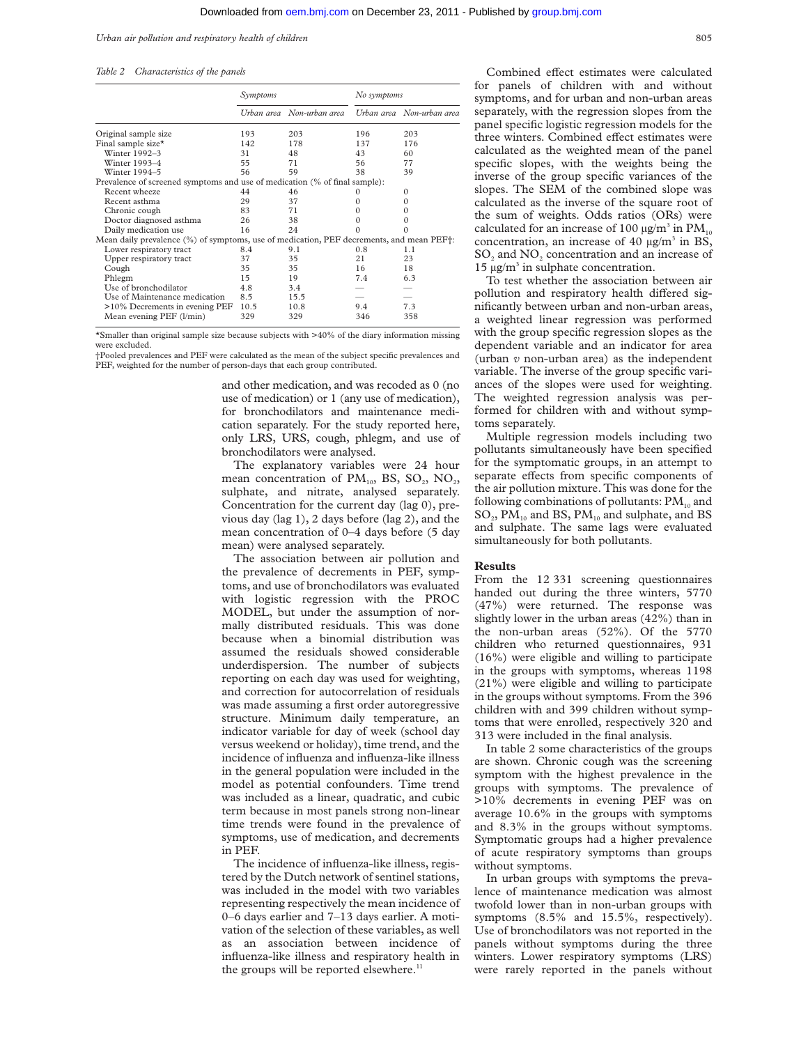#### *Urban air pollution and respiratory health of children* 805

#### *Table 2 Characteristics of the panels*

|                                                                                          | Symptoms |                           | No symptoms |                           |
|------------------------------------------------------------------------------------------|----------|---------------------------|-------------|---------------------------|
|                                                                                          |          | Urban area Non-urban area |             | Urban area Non-urban area |
| Original sample size                                                                     | 193      | 203                       | 196         | 203                       |
| Final sample size*                                                                       | 142      | 178                       | 137         | 176                       |
| Winter 1992-3                                                                            | 31       | 48                        | 43          | 60                        |
| Winter 1993-4                                                                            | 55       | 71                        | 56          | 77                        |
| Winter 1994-5                                                                            | 56       | 59                        | 38          | 39                        |
| Prevalence of screened symptoms and use of medication (% of final sample):               |          |                           |             |                           |
| Recent wheeze                                                                            | 44       | 46                        | $\Omega$    | $\Omega$                  |
| Recent asthma                                                                            | 29       | 37                        | $\Omega$    | $\Omega$                  |
| Chronic cough                                                                            | 83       | 71                        | $\Omega$    | $\Omega$                  |
| Doctor diagnosed asthma                                                                  | 26       | 38                        | 0           | 0                         |
| Daily medication use                                                                     | 16       | 24                        |             |                           |
| Mean daily prevalence (%) of symptoms, use of medication, PEF decrements, and mean PEF†: |          |                           |             |                           |
| Lower respiratory tract                                                                  | 8.4      | 9.1                       | 0.8         | 1.1                       |
| Upper respiratory tract                                                                  | 37       | 35                        | 21          | 23                        |
| Cough                                                                                    | 35       | 35                        | 16          | 18                        |
| Phlegm                                                                                   | 15       | 19                        | 7.4         | 6.3                       |
| Use of bronchodilator                                                                    | 4.8      | 3.4                       |             |                           |
| Use of Maintenance medication                                                            | 8.5      | 15.5                      |             |                           |
| >10% Decrements in evening PEF                                                           | 10.5     | 10.8                      | 9.4         | 7.3                       |
| Mean evening PEF (1/min)                                                                 | 329      | 329                       | 346         | 358                       |

\*Smaller than original sample size because subjects with  $>40\%$  of the diary information missing were excluded.

†Pooled prevalences and PEF were calculated as the mean of the subject specific prevalences and PEF, weighted for the number of person-days that each group contributed.

> and other medication, and was recoded as 0 (no use of medication) or 1 (any use of medication), for bronchodilators and maintenance medication separately. For the study reported here, only LRS, URS, cough, phlegm, and use of bronchodilators were analysed.

> The explanatory variables were 24 hour mean concentration of  $PM_{10}$ , BS, SO<sub>2</sub>, NO<sub>2</sub>, sulphate, and nitrate, analysed separately. Concentration for the current day (lag 0), previous day (lag 1), 2 days before (lag 2), and the mean concentration of 0–4 days before (5 day mean) were analysed separately.

> The association between air pollution and the prevalence of decrements in PEF, symptoms, and use of bronchodilators was evaluated with logistic regression with the PROC MODEL, but under the assumption of normally distributed residuals. This was done because when a binomial distribution was assumed the residuals showed considerable underdispersion. The number of subjects reporting on each day was used for weighting, and correction for autocorrelation of residuals was made assuming a first order autoregressive structure. Minimum daily temperature, an indicator variable for day of week (school day versus weekend or holiday), time trend, and the incidence of influenza and influenza-like illness in the general population were included in the model as potential confounders. Time trend was included as a linear, quadratic, and cubic term because in most panels strong non-linear time trends were found in the prevalence of symptoms, use of medication, and decrements in PEF.

> The incidence of influenza-like illness, registered by the Dutch network of sentinel stations, was included in the model with two variables representing respectively the mean incidence of 0–6 days earlier and 7–13 days earlier. A motivation of the selection of these variables, as well as an association between incidence of influenza-like illness and respiratory health in the groups will be reported elsewhere.<sup>11</sup>

Combined effect estimates were calculated for panels of children with and without symptoms, and for urban and non-urban areas separately, with the regression slopes from the panel specific logistic regression models for the three winters. Combined effect estimates were calculated as the weighted mean of the panel specific slopes, with the weights being the inverse of the group specific variances of the slopes. The SEM of the combined slope was calculated as the inverse of the square root of the sum of weights. Odds ratios (ORs) were calculated for an increase of 100  $\mu$ g/m<sup>3</sup> in PM<sub>10</sub> concentration, an increase of 40 µg/m<sup>3</sup> in BS,  $SO<sub>2</sub>$  and  $NO<sub>2</sub>$  concentration and an increase of 15  $\mu$ g/m<sup>3</sup> in sulphate concentration.

To test whether the association between air pollution and respiratory health differed significantly between urban and non-urban areas, a weighted linear regression was performed with the group specific regression slopes as the dependent variable and an indicator for area (urban *v* non-urban area) as the independent variable. The inverse of the group specific variances of the slopes were used for weighting. The weighted regression analysis was performed for children with and without symptoms separately.

Multiple regression models including two pollutants simultaneously have been specified for the symptomatic groups, in an attempt to separate effects from specific components of the air pollution mixture. This was done for the following combinations of pollutants:  $PM_{10}$  and  $SO_2$ ,  $PM_{10}$  and BS,  $PM_{10}$  and sulphate, and BS and sulphate. The same lags were evaluated simultaneously for both pollutants.

#### **Results**

From the 12 331 screening questionnaires handed out during the three winters, 5770 (47%) were returned. The response was slightly lower in the urban areas (42%) than in the non-urban areas (52%). Of the 5770 children who returned questionnaires, 931 (16%) were eligible and willing to participate in the groups with symptoms, whereas 1198 (21%) were eligible and willing to participate in the groups without symptoms. From the 396 children with and 399 children without symptoms that were enrolled, respectively 320 and 313 were included in the final analysis.

In table 2 some characteristics of the groups are shown. Chronic cough was the screening symptom with the highest prevalence in the groups with symptoms. The prevalence of >10% decrements in evening PEF was on average 10.6% in the groups with symptoms and 8.3% in the groups without symptoms. Symptomatic groups had a higher prevalence of acute respiratory symptoms than groups without symptoms.

In urban groups with symptoms the prevalence of maintenance medication was almost twofold lower than in non-urban groups with symptoms (8.5% and 15.5%, respectively). Use of bronchodilators was not reported in the panels without symptoms during the three winters. Lower respiratory symptoms (LRS) were rarely reported in the panels without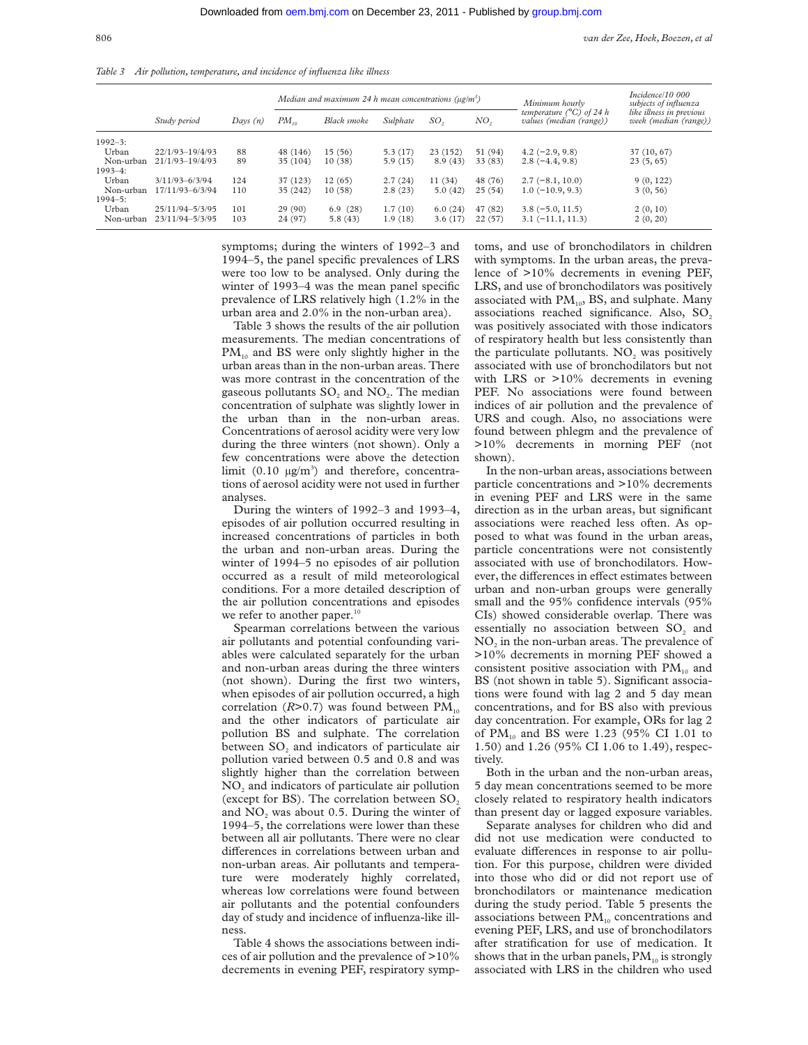*Table 3 Air pollution, temperature, and incidence of influenza like illness*

|             |                     |            |           | Median and maximum 24 h mean concentrations ( $\mu$ g/m <sup>3</sup> ) |          |                 |                 | Minimum hourly                                               | Incidence/10 000<br>subjects of influenza         |
|-------------|---------------------|------------|-----------|------------------------------------------------------------------------|----------|-----------------|-----------------|--------------------------------------------------------------|---------------------------------------------------|
|             | Study period        | Days $(n)$ | $PM_{10}$ | Black smoke                                                            | Sulphate | SO <sub>2</sub> | NO <sub>2</sub> | temperature $(^{\circ}C)$ of 24 h<br>values (median (range)) | like illness in previous<br>week (median (range)) |
| $1992 - 3:$ |                     |            |           |                                                                        |          |                 |                 |                                                              |                                                   |
| Urban       | $22/1/93 - 19/4/93$ | 88         | 48 (146)  | 15(56)                                                                 | 5.3(17)  | 23(152)         | 51 (94)         | $4.2(-2.9, 9.8)$                                             | 37 (10, 67)                                       |
| Non-urban   | $21/1/93 - 19/4/93$ | 89         | 35 (104)  | 10(38)                                                                 | 5.9(15)  | 8.9(43)         | 33 (83)         | $2.8(-4.4, 9.8)$                                             | 23(5,65)                                          |
| $1993 - 4:$ |                     |            |           |                                                                        |          |                 |                 |                                                              |                                                   |
| Urban       | $3/11/93 - 6/3/94$  | 124        | 37 (123)  | 12(65)                                                                 | 2.7(24)  | 11 (34)         | 48 (76)         | $2.7(-8.1, 10.0)$                                            | 9(0, 122)                                         |
| Non-urban   | 17/11/93-6/3/94     | 110        | 35 (242)  | 10(58)                                                                 | 2.8(23)  | 5.0(42)         | 25(54)          | $1.0(-10.9, 9.3)$                                            | 3(0, 56)                                          |
| $1994 - 5:$ |                     |            |           |                                                                        |          |                 |                 |                                                              |                                                   |
| Urban       | 25/11/94-5/3/95     | 101        | 29(90)    | 6.9(28)                                                                | 1.7(10)  | 6.0(24)         | 47 (82)         | $3.8(-5.0, 11.5)$                                            | 2(0, 10)                                          |
| Non-urban   | 23/11/94-5/3/95     | 103        | 24 (97)   | 5.8(43)                                                                | 1.9(18)  | 3.6(17)         | 22(57)          | $3.1(-11.1, 11.3)$                                           | 2(0, 20)                                          |

symptoms; during the winters of 1992–3 and 1994–5, the panel specific prevalences of LRS were too low to be analysed. Only during the winter of 1993–4 was the mean panel specific prevalence of LRS relatively high (1.2% in the urban area and 2.0% in the non-urban area).

Table 3 shows the results of the air pollution measurements. The median concentrations of  $PM_{10}$  and BS were only slightly higher in the urban areas than in the non-urban areas. There was more contrast in the concentration of the gaseous pollutants  $SO_2$  and  $NO_2$ . The median concentration of sulphate was slightly lower in the urban than in the non-urban areas. Concentrations of aerosol acidity were very low during the three winters (not shown). Only a few concentrations were above the detection limit  $(0.10 \text{ µg/m}^3)$  and therefore, concentrations of aerosol acidity were not used in further analyses.

During the winters of 1992–3 and 1993–4, episodes of air pollution occurred resulting in increased concentrations of particles in both the urban and non-urban areas. During the winter of 1994–5 no episodes of air pollution occurred as a result of mild meteorological conditions. For a more detailed description of the air pollution concentrations and episodes we refer to another paper.<sup>10</sup>

Spearman correlations between the various air pollutants and potential confounding variables were calculated separately for the urban and non-urban areas during the three winters (not shown). During the first two winters, when episodes of air pollution occurred, a high correlation  $(R>0.7)$  was found between  $PM_{10}$ and the other indicators of particulate air pollution BS and sulphate. The correlation between  $SO<sub>2</sub>$  and indicators of particulate air pollution varied between 0.5 and 0.8 and was slightly higher than the correlation between NO<sub>2</sub> and indicators of particulate air pollution (except for BS). The correlation between  $SO<sub>2</sub>$ and  $NO<sub>2</sub>$  was about 0.5. During the winter of 1994–5, the correlations were lower than these between all air pollutants. There were no clear differences in correlations between urban and non-urban areas. Air pollutants and temperature were moderately highly correlated, whereas low correlations were found between air pollutants and the potential confounders day of study and incidence of influenza-like illness.

Table 4 shows the associations between indices of air pollution and the prevalence of >10% decrements in evening PEF, respiratory symptoms, and use of bronchodilators in children with symptoms. In the urban areas, the prevalence of >10% decrements in evening PEF, LRS, and use of bronchodilators was positively associated with  $PM_{10}$ , BS, and sulphate. Many associations reached significance. Also, SO2 was positively associated with those indicators of respiratory health but less consistently than the particulate pollutants. NO<sub>2</sub> was positively associated with use of bronchodilators but not with LRS or >10% decrements in evening PEF. No associations were found between indices of air pollution and the prevalence of URS and cough. Also, no associations were found between phlegm and the prevalence of >10% decrements in morning PEF (not shown).

In the non-urban areas, associations between particle concentrations and >10% decrements in evening PEF and LRS were in the same direction as in the urban areas, but significant associations were reached less often. As opposed to what was found in the urban areas, particle concentrations were not consistently associated with use of bronchodilators. However, the differences in effect estimates between urban and non-urban groups were generally small and the 95% confidence intervals (95% CIs) showed considerable overlap. There was essentially no association between SO<sub>2</sub> and NO<sub>2</sub> in the non-urban areas. The prevalence of >10% decrements in morning PEF showed a consistent positive association with  $PM_{10}$  and BS (not shown in table 5). Significant associations were found with lag 2 and 5 day mean concentrations, and for BS also with previous day concentration. For example, ORs for lag 2 of  $PM_{10}$  and BS were 1.23 (95% CI 1.01 to 1.50) and 1.26 (95% CI 1.06 to 1.49), respectively.

Both in the urban and the non-urban areas, 5 day mean concentrations seemed to be more closely related to respiratory health indicators than present day or lagged exposure variables.

Separate analyses for children who did and did not use medication were conducted to evaluate differences in response to air pollution. For this purpose, children were divided into those who did or did not report use of bronchodilators or maintenance medication during the study period. Table 5 presents the associations between  $PM_{10}$  concentrations and evening PEF, LRS, and use of bronchodilators after stratification for use of medication. It shows that in the urban panels,  $PM_{10}$  is strongly associated with LRS in the children who used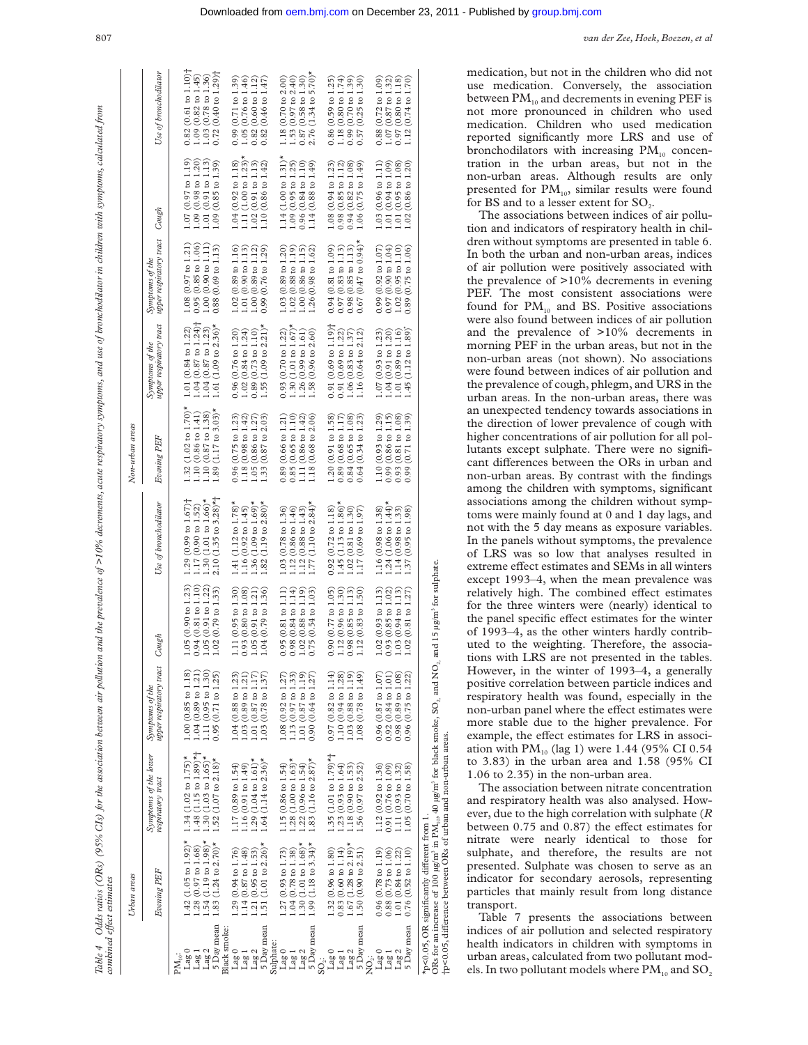Table 4 Odds ratios (ORs) (95% CIs) for the association between air pollution and the prevalence of sepirations, and ase of bronchodilator in children with symptoms, calculated from<br>combined effect estimates Table 4 Odds ratios (ORs) (95% CIs) for the association between air pollution and the prevalence of >10% decrements, acute respiratory symptoms, and use of bronchodilator in children with symptoms, calculated from<br>combined *Vect estimates*

|                                                        | Urban areas                                          |                                                                                                                                                                                                        |                                                                |                                          |                                                      | Non-urban areas                                                                                                                        |                                                                             |                                                     |                                                                |                                                      |
|--------------------------------------------------------|------------------------------------------------------|--------------------------------------------------------------------------------------------------------------------------------------------------------------------------------------------------------|----------------------------------------------------------------|------------------------------------------|------------------------------------------------------|----------------------------------------------------------------------------------------------------------------------------------------|-----------------------------------------------------------------------------|-----------------------------------------------------|----------------------------------------------------------------|------------------------------------------------------|
|                                                        | Evening PEF                                          | Symptoms of the lower<br>respiratory tract                                                                                                                                                             | upper respiratory tract<br>Symptoms of the                     | Cough                                    | Use of bronchodilator                                | Evening PEF                                                                                                                            | upper respiratory tract<br>Symptoms of the                                  | upper respiratory tract<br>Symptoms of the          | Cough                                                          | Use of bronchodilator                                |
|                                                        |                                                      |                                                                                                                                                                                                        |                                                                |                                          |                                                      |                                                                                                                                        |                                                                             |                                                     |                                                                |                                                      |
| Lag1<br>Lag (                                          | $1.42$ (1.05 to 1.92)*<br>$1.28(0.97$ to $1.68)$     | $1.48$ (1.15 to 1.89)*+<br>$1.34$ (1.02 to $1.75$ )*                                                                                                                                                   | 1.00(0.85 to 1.18)<br>$1.04(0.89 \text{ to } 1.21)$            | 0.94(0.81 to 1.10)<br>1.05(0.90 to 1.23) | $1.29(0.99 \text{ to } 1.67)$<br>1.17 (0.90 to 1.52) | $1.32$ (1.02 to $1.70$ )*                                                                                                              | $1.04(0.87 \text{ to } 1.24)$ <sup>+</sup><br>$1.01(0.84 \text{ to } 1.22)$ | $0.95(0.85 \text{ to } 1.06)$<br>1.08 (0.97 to 1.21 | $1.07(0.97 \text{ to } 1.19)$<br>$1.09(0.98 \text{ to } 1.20)$ | $0.82(0.61 \text{ to } 1.10)$<br>1.09 (0.82 to 1.45) |
| Lag <sub>2</sub>                                       | $1.54(1.19 \text{ to } 1.98)$ *                      | $.30(1.03 \text{ to } 1.65)$ *                                                                                                                                                                         | 1.11 (0.95 to 1.30)                                            | 1.05 (0.91 to 1.22)                      | $1.30(1.01 \text{ to } 1.66)$ *                      | $\begin{array}{c} 1.10\ (0.86 \text{ to } 1.41) \\ 1.10\ (0.87 \text{ to } 1.38) \\ 1.89\ (1.17 \text{ to } 3.03)^{\star} \end{array}$ | $1.04(0.87 \text{ to } 1.23)$                                               | 1.00(0.90 to 1.11                                   | (0.91 to 1.13)<br>$1.01$                                       | $(0.78 \text{ to } 1.36)$<br>1.03                    |
| 5 Day mean<br>Black smoke                              | $1.83$ (1.24 to 2.70)*                               | $1.52$ (1.07 to 2.18)*                                                                                                                                                                                 | $0.95(0.71 \text{ to } 1.25)$                                  | 1.02(0.79 to 1.33)                       | $2.10$ (1.35 to 3.28)*                               |                                                                                                                                        | $1.61$ (1.09 to 2.36)*                                                      | $0.88(0.69 \text{ to } 1.13)$                       | 1.09(0.85 to 1.39)                                             | $(0.40 \text{ to } 1.29)$<br>0.72                    |
| Lag 0                                                  | $1.29(0.94 \text{ to } 1.76)$                        | $1.17(0.89 \text{ to } 1.54)$                                                                                                                                                                          | 1.04 (0.88 to 1.23)                                            | 1.11 (0.95 to 1.30)                      | $(1.12 \text{ to } 1.78)$ *<br>1.41                  | $0.96$ (0.75 to 1.23)                                                                                                                  | 0.96(0.76 to 1.20)                                                          | $1.02(0.89 \text{ to } 1.16)$                       | 1.04(0.92 to 1.18)                                             | $(0.71 \text{ to } 1.39)$<br>0.99                    |
| Lag <sub>1</sub>                                       | $1.14(0.87 \text{ to } 1.48)$                        | $.16(0.91 \text{ to } 1.49)$                                                                                                                                                                           | $1.03(0.89 \text{ to } 1.21$                                   | 0.93(0.80 to 1.08)                       | 1.16(0.92 to 1.45)                                   | $\begin{array}{c} 1.18\ (0.98\ \text{to}\ 1.42)\\ 1.05\ (0.86\ \text{to}\ 1.27)\\ 1.33\ (0.87\ \text{to}\ 2.03) \end{array}$           | 1.02(0.84 to 1.24)                                                          | 1.01(0.90 to 1.13)                                  | $1.11(1.00 to 1.23)$ *                                         | $1.05(0.76 \text{ to } 1.46)$                        |
| Lag <sub>2</sub>                                       | $1.21(0.95 \text{ to } 1.53)$                        | $1.29(1.04 \text{ to } 1.61)^*$                                                                                                                                                                        | $1.01 (0.87$ to $1.17)$<br>$1.03 (0.78$ to $1.37)$             | 1.05 (0.91 to 1.21)                      | $(1.09 \text{ to } 1.69)$ *<br>$1.36$ (<br>$1.82$ (  |                                                                                                                                        | $0.89(0.73 \text{ to } 1.10)$                                               | 1.00(0.89 to 1.12)                                  | 1.02(0.91 to 1.13)                                             | 0.82(0.60 to 1.12)                                   |
| 5 Day mean                                             | 1.51 (1.01 to $2.26$ )*                              | $1.64$ (1.14 to 2.36)*                                                                                                                                                                                 |                                                                | $1.04(0.79 \text{ to } 1.36)$            | $(1.19 \text{ to } 2.80)$ *                          |                                                                                                                                        | $1.55$ (1.09 to 2.21)*                                                      | $(0.76 \text{ to } 1.29)$<br>0.99                   | 1.10(0.86 to 1.42)                                             | $(0.46 \text{ to } 1.47)$<br>0.82                    |
| Sulphate:                                              |                                                      |                                                                                                                                                                                                        |                                                                |                                          |                                                      |                                                                                                                                        |                                                                             |                                                     |                                                                |                                                      |
| $\rm{Lag}$ $0$                                         | $1.27(0.93 \text{ to } 1.73)$                        | $1.15(0.86 \text{ to } 1.54)$                                                                                                                                                                          | 1.08(0.92 to 1.27)                                             | 0.95(0.81 to 1.11)                       | $1.03(0.78 \text{ to } 1.36)$                        | 0.89(0.66 to 1.21)                                                                                                                     | 0.93(0.70 to 1.22)                                                          | $1.03(0.89 \text{ to } 1.20)$                       | $1.14$ (1.00 to 1.31) <sup>*</sup>                             | 1.18(0.70 to 2.00)                                   |
| Lag 1                                                  | $1.04 (0.78$ to $1.38)$<br>$1.30 (1.01$ to $1.68)$ * | $1.28(1.00 \text{ to } 1.63)$ *                                                                                                                                                                        | 1.13(0.97 to 1.33)                                             | $0.98(0.84 \text{ to } 1.14)$            | 1.12(0.86 to 1.46)                                   | 0.85(0.65 to 1.10)                                                                                                                     | $1.30(1.01 to 1.67)$ *                                                      | $1.02(0.88$ to $1.19)$                              | 1.09(0.95 to 1.25)                                             | 1.53(0.97 to 2.40)                                   |
| Lag 2                                                  |                                                      | $1.22(0.96 \text{ to } 1.54)$                                                                                                                                                                          | 1.01 (0.87 to 1.19)                                            | $1.02(0.88 \text{ to } 1.19)$            | $(0.88 \text{ to } 1.43)$<br>$1.12$ $1.77$           | $(0.86 \text{ to } 1.42)$<br>$\Xi$                                                                                                     | $1.26(0.99 \text{ to } 1.61)$                                               | $1.00(0.86 \text{ to } 1.15)$                       | 0.96(0.84 to 1.10)                                             | $0.87(0.58 \text{ to } 1.30)$                        |
| 5 Day mean                                             | $1.99$ (1.18 to 3.34)*                               | $1.83(1.16 \text{ to } 2.87)$ *                                                                                                                                                                        | $0.90(0.64 \text{ to } 1.27)$                                  | $0.75(0.54 \text{ to } 1.03)$            | $(1.10 \text{ to } 2.84)$ *                          | $(0.68 \text{ to } 2.06)$<br>1.18                                                                                                      | 1.58(0.96 to 2.60)                                                          | 1.26(0.98 to 1.62)                                  | $1.14(0.88 \text{ to } 1.49)$                                  | $2.76$ (1.34 to 5.70)*                               |
| $\mathop{\rm SO}\nolimits_2^{\mathop{\rm :}\nolimits}$ |                                                      |                                                                                                                                                                                                        |                                                                |                                          |                                                      |                                                                                                                                        |                                                                             |                                                     |                                                                |                                                      |
|                                                        | $1.32(0.96 \text{ to } 1.80)$                        | $1.35(1.01 \text{ to } 1.79)$ *†                                                                                                                                                                       | $0.97(0.82 \text{ to } 1.14)$                                  | 0.90(0.77 to 1.05)                       | $(0.72 \text{ to } 1.18)$<br>0.92                    | 1.20(0.91 to 1.58)                                                                                                                     | $0.91(0.69 \text{ to } 1.19)$                                               | $0.94(0.81$ to $1.09)$                              | $1.08$ (0.94 to 1.23)                                          | $0.86(0.59 \text{ to } 1.25)$                        |
| Lag <sub>1</sub>                                       | $0.83(0.60 \text{ to } 1.14)$                        | $1.23(0.93 \text{ to } 1.64)$                                                                                                                                                                          | 1.10(0.94 to 1.28)                                             | 1.12 (0.96 to 1.30)                      | $(1.13 \text{ to } 1.86)$ *<br>1.45(                 | $0.89(0.68 \text{ to } 1.17)$                                                                                                          | 0.91(0.69 to 1.22)                                                          | $0.97(0.83 \text{ to } 1.13)$                       | $0.98$ (0.85 to 1.12)                                          | $1.18(0.80 to 1.74)$<br>0.99 $(0.70 to 1.39)$        |
| Lag <sub>2</sub>                                       | $1.67 (1.28 \text{ to } 2.19)^*$                     | $1.18(0.90 \text{ to } 1.53)$                                                                                                                                                                          | $1.03(0.88 \text{ to } 1.19)$<br>$1.08(0.78 \text{ to } 1.49)$ | 0.98(0.85 to 1.13)                       | $1.02(0.81$ to $1.30)$<br>$1.17(0.69$ to $1.97)$     | 0.84(0.65 to 1.08)                                                                                                                     | $1.06(0.83 \text{ to } 1.37)$                                               | $0.98(0.85 \text{ to } 1.13)$                       | $0.94(0.82 \text{ to } 1.08)$                                  |                                                      |
| 5 Day mean                                             | 1.50(0.90 to 2.51)                                   | $1.56(0.97$ to $2.52)$                                                                                                                                                                                 |                                                                | $1.12(0.83 \text{ to } 1.50)$            |                                                      | $(0.34 \text{ to } 1.23)$<br>0.64                                                                                                      | $(0.64 \text{ to } 2.12)$<br>1.16                                           | $(0.47 \text{ to } 0.94)$ *<br>0.67                 | 1.06(0.75 to 1.49)                                             | $(0.25 \text{ to } 1.30)$<br>0.57                    |
| NO <sub>2</sub> :                                      |                                                      |                                                                                                                                                                                                        |                                                                |                                          |                                                      |                                                                                                                                        |                                                                             |                                                     |                                                                |                                                      |
| Lag <sub>0</sub>                                       | $0.96(0.78 \text{ to } 1.19)$                        | $1.12(0.92 \text{ to } 1.36)$                                                                                                                                                                          | 0.96(0.87 to 1.07)                                             | $1.02(0.93 \text{ to } 1.13)$            | 1.16(0.98 to 1.38)                                   | $1.10(0.93 \text{ to } 1.29)$                                                                                                          | $1.07(0.93 \text{ to } 1.23)$                                               | 0.99(0.92 to 1.07)                                  | 1.03(0.96 to 1.11)                                             | $0.88$ (0.72 to 1.09)                                |
| Lag <sub>1</sub>                                       | $0.88(0.73 \text{ to } 1.06)$                        | $0.91(0.76 \text{ to } 1.09)$                                                                                                                                                                          | $0.92(0.84 \text{ to } 1.01)$                                  | 0.93(0.85 to 1.02)                       | $1.24~(1.06~to~1.44)^*$<br>1.14 (0.98 to 1.33)       | 0.99(0.86 to 1.15)                                                                                                                     | 1.04(0.91 to 1.20)                                                          | $0.97(0.90 \text{ to } 1.04)$                       | $(0.94 \text{ to } 1.09)$<br>1.01                              | $1.07(0.87 \text{ to } 1.32)$                        |
| Lag <sub>2</sub>                                       | 1.01 (0.84 to 1.22)                                  | $1.11(0.93 \text{ to } 1.32)$                                                                                                                                                                          | 0.98(0.89 t 0.1.08)                                            | $1.03(0.94 \text{ to } 1.13)$            |                                                      | $0.93(0.81 \text{ to } 1.08)$                                                                                                          | $1.01(0.89 \text{ to } 1.16)$                                               | $1.02(0.95 \text{ to } 1.10)$                       | 1.01(0.95 to 1.08)                                             | $0.97(0.80 \text{ to } 1.18)$                        |
| 5 Day mean                                             | $0.76(0.52 \text{ to } 1.10)$                        | $1.05(0.70 \text{ to } 1.58)$                                                                                                                                                                          | $(0.75 \text{ to } 1.22)$<br>0.96                              | 1.02(0.81 to 1.27)                       | $(0.95 \text{ to } 1.98)$<br>1.37                    | $(0.71 \text{ to } 1.39)$<br>0.99                                                                                                      | 1.45 (1.12 to 1.89)                                                         | $0.89(0.75 \text{ to } 1.06)$                       | $(0.86 \text{ to } 1.20)$<br>1.02                              | $(0.74 \text{ to } 1.70)$<br>1.12                    |
|                                                        | *p<0.05, OR significantly different from 1.          |                                                                                                                                                                                                        |                                                                |                                          |                                                      |                                                                                                                                        |                                                                             |                                                     |                                                                |                                                      |
|                                                        |                                                      | ORs for an increase of 100 $\mu$ g/m <sup>3</sup> in PM <sub>10</sub> , 40 $\mu$ g/m <sup>3</sup> for black smoke, SO <sub>2</sub> , and NO <sub>2</sub> , and 15 $\mu$ g/m <sup>3</sup> for sulphate. |                                                                |                                          |                                                      |                                                                                                                                        |                                                                             |                                                     |                                                                |                                                      |
|                                                        |                                                      | †p<0.05, difference between ORs of urban and non-urban areas.                                                                                                                                          |                                                                |                                          |                                                      |                                                                                                                                        |                                                                             |                                                     |                                                                |                                                      |

807 *van der Zee, Hoek, Boezen, et al*

medication, but not in the children who did not use medication. Conversely, the association between  $PM_{10}$  and decrements in evening PEF is not more pronounced in children who used medication. Children who used medication reported significantly more LRS and use of bronchodilators with increasing  $PM_{10}$  concentration in the urban areas, but not in the non-urban areas. Although results are only presented for  $PM_{10}$ , similar results were found for BS and to a lesser extent for  $SO_2$ .

The associations between indices of air pollution and indicators of respiratory health in children without symptoms are presented in table 6. In both the urban and non-urban areas, indices of air pollution were positively associated with the prevalence of >10% decrements in evening PEF. The most consistent associations were found for  $PM_{10}$  and BS. Positive associations were also found between indices of air pollution and the prevalence of >10% decrements in morning PEF in the urban areas, but not in the non-urban areas (not shown). No associations were found between indices of air pollution and the prevalence of cough, phlegm, and URS in the urban areas. In the non-urban areas, there was an unexpected tendency towards associations in the direction of lower prevalence of cough with higher concentrations of air pollution for all pollutants except sulphate. There were no significant differences between the ORs in urban and non-urban areas. By contrast with the findings among the children with symptoms, significant associations among the children without symptoms were mainly found at 0 and 1 day lags, and not with the 5 day means as exposure variables. In the panels without symptoms, the prevalence of LRS was so low that analyses resulted in extreme effect estimates and SEMs in all winters except 1993–4, when the mean prevalence was relatively high. The combined effect estimates for the three winters were (nearly) identical to the panel specific effect estimates for the winter of 1993–4, as the other winters hardly contributed to the weighting. Therefore, the associations with LRS are not presented in the tables. However, in the winter of 1993–4, a generally positive correlation between particle indices and respiratory health was found, especially in the non-urban panel where the effect estimates were more stable due to the higher prevalence. For example, the effect estimates for LRS in association with  $PM_{10}$  (lag 1) were 1.44 (95% CI 0.54) to 3.83) in the urban area and 1.58 (95% CI 1.06 to 2.35) in the non-urban area.

The association between nitrate concentration and respiratory health was also analysed. However, due to the high correlation with sulphate (*R* between 0.75 and 0.87) the effect estimates for nitrate were nearly identical to those for sulphate, and therefore, the results are not presented. Sulphate was chosen to serve as an indicator for secondary aerosols, representing particles that mainly result from long distance transport.

Table 7 presents the associations between indices of air pollution and selected respiratory health indicators in children with symptoms in urban areas, calculated from two pollutant models. In two pollutant models where  $PM_{10}$  and  $SO_2$ 

Downloaded from [oem.bmj.com](http://oem.bmj.com/) on December 23, 2011 - Published by [group.bmj.com](http://group.bmj.com/)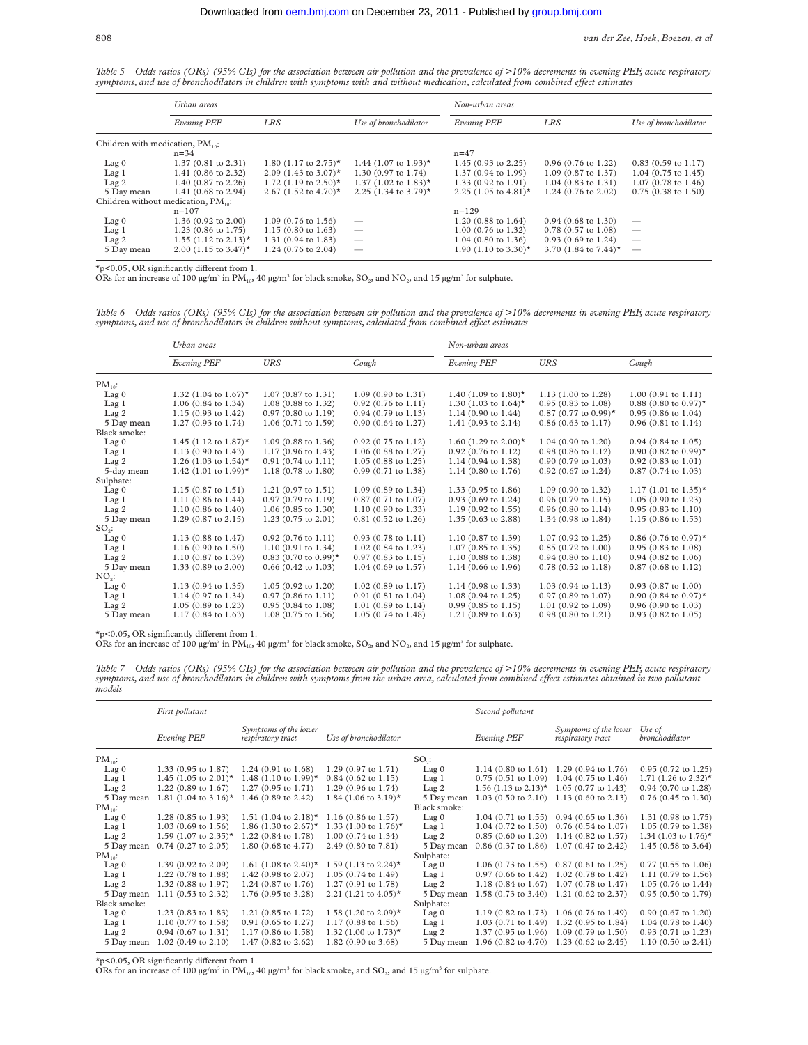*Table 5 Odds ratios (ORs) (95% CIs) for the association between air pollution and the prevalence of >10% decrements in evening PEF, acute respiratory* symptoms, and use of bronchodilators in children with symptoms with and without medication, calculated from combined effect estimates

|                                              | Urban areas                              |                                             |                                             | Non-urban areas                  |                               |                          |
|----------------------------------------------|------------------------------------------|---------------------------------------------|---------------------------------------------|----------------------------------|-------------------------------|--------------------------|
|                                              | Evening PEF                              | LRS                                         | Use of bronchodilator                       | <b>Evening PEF</b>               | <b>LRS</b>                    | Use of bronchodilator    |
| Children with medication, PM <sub>10</sub> : |                                          |                                             |                                             |                                  |                               |                          |
|                                              | $n = 34$                                 |                                             |                                             | $n = 47$                         |                               |                          |
| Lag <sub>0</sub>                             | $1.37(0.81 \text{ to } 2.31)$            | 1.80 $(1.17 \text{ to } 2.75)^*$            | 1.44 $(1.07 \text{ to } 1.93)$ <sup>*</sup> | $1.45(0.93 \text{ to } 2.25)$    | $0.96$ (0.76 to 1.22)         | $0.83$ (0.59 to 1.17)    |
| Lag <sub>1</sub>                             | 1.41 (0.86 to 2.32)                      | 2.09 $(1.43 \text{ to } 3.07)$ <sup>*</sup> | 1.30 (0.97 to 1.74)                         | $1.37(0.94 \text{ to } 1.99)$    | $1.09$ (0.87 to 1.37)         | $1.04$ (0.75 to 1.45)    |
| Lag <sub>2</sub>                             | 1.40 (0.87 to 2.26)                      | 1.72 $(1.19 \text{ to } 2.50)^*$            | 1.37 $(1.02 \text{ to } 1.83)$ <sup>*</sup> | $1.33(0.92 \text{ to } 1.91)$    | $1.04(0.83 \text{ to } 1.31)$ | $1.07$ (0.78 to 1.46)    |
| 5 Day mean                                   | 1.41 $(0.68 \text{ to } 2.94)$           | 2.67 (1.52 to 4.70)*                        | 2.25 $(1.34 \text{ to } 3.79)$ *            | 2.25 $(1.05 \text{ to } 4.81)$ * | 1.24 (0.76 to 2.02)           | $0.75$ (0.38 to 1.50)    |
|                                              | Children without medication, $PM_{10}$ : |                                             |                                             |                                  |                               |                          |
|                                              | $n = 107$                                |                                             |                                             | $n=129$                          |                               |                          |
| Lag <sub>0</sub>                             | 1.36 $(0.92 \text{ to } 2.00)$           | $1.09$ (0.76 to 1.56)                       |                                             | $1.20$ (0.88 to 1.64)            | $0.94$ (0.68 to 1.30)         |                          |
| Lag <sub>1</sub>                             | $1.23$ (0.86 to 1.75)                    | $1.15(0.80 \text{ to } 1.63)$               | $\overline{\phantom{m}}$                    | 1.00 (0.76 to 1.32)              | $0.78$ (0.57 to 1.08)         | $\overline{\phantom{m}}$ |
| Lag <sub>2</sub>                             | 1.55 $(1.12 \text{ to } 2.13)$ *         | 1.31 $(0.94 \text{ to } 1.83)$              | $\overline{\phantom{m}}$                    | $1.04$ (0.80 to 1.36)            | $0.93(0.69 \text{ to } 1.24)$ | $\overline{\phantom{m}}$ |
| 5 Day mean                                   | 2.00 $(1.15 \text{ to } 3.47)^*$         | 1.24 (0.76 to 2.04)                         |                                             | 1.90 (1.10 to 3.30)*             | 3.70 (1.84 to 7.44)*          | $\hspace{0.05cm}$        |

 $*$ p<0.05, OR significantly different from 1.

ORs for an increase of 100  $\mu$ g/m<sup>3</sup> in PM<sub>10</sub>, 40  $\mu$ g/m<sup>3</sup> for black smoke, SO<sub>2</sub>, and NO<sub>2</sub>, and 15  $\mu$ g/m<sup>3</sup> for sulphate.

*Table 6 Odds ratios (ORs) (95% CIs) for the association between air pollution and the prevalence of >10% decrements in evening PEF, acute respiratory symptoms, and use of bronchodilators in children without symptoms, calculated from combined eVect estimates*

|                   | Urban areas                      |                                    |                                | Non-urban areas                             |                               |                                    |
|-------------------|----------------------------------|------------------------------------|--------------------------------|---------------------------------------------|-------------------------------|------------------------------------|
|                   | Evening PEF                      | URS                                | Cough                          | <b>Evening PEF</b>                          | URS                           | Cough                              |
| $PM_{10}$ :       |                                  |                                    |                                |                                             |                               |                                    |
| Lag <sub>0</sub>  | 1.32 (1.04 to 1.67)*             | $1.07(0.87 \text{ to } 1.31)$      | $1.09(0.90 \text{ to } 1.31)$  | 1.40 $(1.09 \text{ to } 1.80)$ <sup>*</sup> | $1.13(1.00 \text{ to } 1.28)$ | $1.00(0.91 \text{ to } 1.11)$      |
| Lag <sub>1</sub>  | $1.06(0.84 \text{ to } 1.34)$    | $1.08$ (0.88 to 1.32)              | $0.92$ (0.76 to 1.11)          | 1.30 (1.03 to 1.64)*                        | $0.95(0.83 \text{ to } 1.08)$ | $0.88$ (0.80 to 0.97) <sup>*</sup> |
| Lag <sub>2</sub>  | $1.15(0.93 \text{ to } 1.42)$    | $0.97$ (0.80 to 1.19)              | $0.94$ (0.79 to 1.13)          | $1.14(0.90 \text{ to } 1.44)$               | $0.87$ (0.77 to 0.99)*        | $0.95(0.86 \text{ to } 1.04)$      |
| 5 Day mean        | $1.27(0.93 \text{ to } 1.74)$    | $1.06(0.71 \text{ to } 1.59)$      | $0.90(0.64 \text{ to } 1.27)$  | $1.41(0.93 \text{ to } 2.14)$               | $0.86$ (0.63 to 1.17)         | $0.96(0.81)$ to $1.14$ )           |
| Black smoke:      |                                  |                                    |                                |                                             |                               |                                    |
| Lag <sub>0</sub>  | 1.45 $(1.12 \text{ to } 1.87)$ * | $1.09$ (0.88 to 1.36)              | $0.92$ (0.75 to 1.12)          | 1.60 $(1.29 \text{ to } 2.00)$ <sup>*</sup> | $1.04(0.90 \text{ to } 1.20)$ | $0.94$ (0.84 to 1.05)              |
| Lag <sub>1</sub>  | $1.13(0.90 \text{ to } 1.43)$    | $1.17(0.96 \text{ to } 1.43)$      | $1.06$ (0.88 to 1.27)          | $0.92$ (0.76 to 1.12)                       | 0.98 (0.86 to 1.12)           | $0.90$ (0.82 to 0.99) <sup>*</sup> |
| Lag <sub>2</sub>  | 1.26 (1.03 to 1.54) <sup>*</sup> | $0.91$ $(0.74$ to $1.11)$          | $1.05$ (0.88 to 1.25)          | $1.14$ (0.94 to 1.38)                       | $0.90$ (0.79 to 1.03)         | $0.92$ (0.83 to 1.01)              |
| 5-day mean        | 1.42 (1.01 to 1.99)*             | 1.18 (0.78 to 1.80)                | $0.99(0.71)$ to 1.38)          | $1.14(0.80 \text{ to } 1.76)$               | $0.92(0.67 \text{ to } 1.24)$ | $0.87$ (0.74 to 1.03)              |
| Sulphate:         |                                  |                                    |                                |                                             |                               |                                    |
| Lag <sub>0</sub>  | $1.15(0.87 \text{ to } 1.51)$    | $1.21$ (0.97 to 1.51)              | $1.09$ (0.89 to 1.34)          | 1.33 $(0.95 \text{ to } 1.86)$              | $1.09(0.90 \text{ to } 1.32)$ | $1.17$ (1.01 to 1.35) <sup>*</sup> |
| Lag <sub>1</sub>  | $1.11$ (0.86 to 1.44)            | $0.97(0.79 \text{ to } 1.19)$      | $0.87$ (0.71 to 1.07)          | $0.93$ (0.69 to 1.24)                       | $0.96$ (0.79 to 1.15)         | $1.05(0.90 \text{ to } 1.23)$      |
| Lag <sub>2</sub>  | $1.10(0.86 \text{ to } 1.40)$    | $1.06$ (0.85 to 1.30)              | $1.10$ (0.90 to 1.33)          | $1.19$ (0.92 to 1.55)                       | $0.96$ (0.80 to 1.14)         | $0.95(0.83 \text{ to } 1.10)$      |
| 5 Day mean        | $1.29(0.87 \text{ to } 2.15)$    | $1.23(0.75 \text{ to } 2.01)$      | $0.81(0.52 \text{ to } 1.26)$  | 1.35 (0.63 to 2.88)                         | 1.34 (0.98 to 1.84)           | $1.15(0.86 \text{ to } 1.53)$      |
| $SO2$ :           |                                  |                                    |                                |                                             |                               |                                    |
| $Lag$ 0           | $1.13(0.88 \text{ to } 1.47)$    | $0.92(0.76 \text{ to } 1.11)$      | $0.93$ (0.78 to 1.11)          | 1.10 (0.87 to 1.39)                         | $1.07(0.92 \text{ to } 1.25)$ | $0.86$ (0.76 to 0.97) <sup>*</sup> |
| Lag <sub>1</sub>  | $1.16(0.90 \text{ to } 1.50)$    | $1.10(0.91 \text{ to } 1.34)$      | 1.02 (0.84 to 1.23)            | $1.07$ (0.85 to 1.35)                       | $0.85$ (0.72 to 1.00)         | $0.95(0.83 \text{ to } 1.08)$      |
| Lag <sub>2</sub>  | $1.10$ (0.87 to 1.39)            | $0.83$ (0.70 to 0.99) <sup>*</sup> | $0.97$ (0.83 to 1.15)          | $1.10$ (0.88 to 1.38)                       | $0.94$ (0.80 to 1.10)         | $0.94$ (0.82 to 1.06)              |
| 5 Day mean        | 1.33 (0.89 to 2.00)              | $0.66$ (0.42 to 1.03)              | $1.04$ (0.69 to 1.57)          | $1.14(0.66 \text{ to } 1.96)$               | $0.78$ (0.52 to 1.18)         | $0.87(0.68 \text{ to } 1.12)$      |
| NO <sub>2</sub> : |                                  |                                    |                                |                                             |                               |                                    |
| Lag <sub>0</sub>  | $1.13(0.94 \text{ to } 1.35)$    | $1.05(0.92 \text{ to } 1.20)$      | $1.02$ (0.89 to 1.17)          | $1.14$ (0.98 to 1.33)                       | $1.03(0.94 \text{ to } 1.13)$ | $0.93$ (0.87 to 1.00)              |
| Lag <sub>1</sub>  | $1.14$ (0.97 to 1.34)            | $0.97(0.86 \text{ to } 1.11)$      | $0.91(0.81 \text{ to } 1.04)$  | $1.08$ (0.94 to 1.25)                       | $0.97$ (0.89 to 1.07)         | 0.90 (0.84 to 0.97)*               |
| Lag <sub>2</sub>  | $1.05(0.89 \text{ to } 1.23)$    | $0.95(0.84 \text{ to } 1.08)$      | 1.01 $(0.89 \text{ to } 1.14)$ | $0.99$ (0.85 to 1.15)                       | $1.01$ (0.92 to 1.09)         | $0.96(0.90 \text{ to } 1.03)$      |
| 5 Day mean        | $1.17(0.84 \text{ to } 1.63)$    | $1.08$ (0.75 to 1.56)              | $1.05(0.74 \text{ to } 1.48)$  | $1.21$ (0.89 to 1.63)                       | $0.98$ (0.80 to 1.21)         | $0.93$ (0.82 to 1.05)              |

 $*_p$ <0.05, OR significantly different from 1.

ORs for an increase of 100  $\mu$ g/m<sup>3</sup> in PM<sub>10</sub>, 40  $\mu$ g/m<sup>3</sup> for black smoke, SO<sub>2</sub>, and NO<sub>2</sub>, and 15  $\mu$ g/m<sup>3</sup> for sulphate.

*Table 7 Odds ratios (ORs) (95% CIs) for the association between air pollution and the prevalence of >10% decrements in evening PEF, acute respiratory* symptoms, and use of bronchodilators in children with symptoms from the urban area, calculated from combined effect estimates obtained in two pollutant *models*

|                  | First pollutant                |                                            |                               |                  | Second pollutant                            |                                                               |                                |
|------------------|--------------------------------|--------------------------------------------|-------------------------------|------------------|---------------------------------------------|---------------------------------------------------------------|--------------------------------|
|                  | Evening PEF                    | Symptoms of the lower<br>respiratory tract | Use of bronchodilator         |                  | <b>Evening PEF</b>                          | Symptoms of the lower<br>respiratory tract                    | Use of<br>bronchodilator       |
| $PM_{10}$ :      |                                |                                            |                               | $SO2$ :          |                                             |                                                               |                                |
| Lag <sub>0</sub> | 1.33 $(0.95 \text{ to } 1.87)$ | $1.24$ (0.91 to 1.68)                      | $1.29$ (0.97 to 1.71)         | $Lag$ 0          |                                             | 1.14 $(0.80 \text{ to } 1.61)$ 1.29 $(0.94 \text{ to } 1.76)$ | $0.95$ (0.72 to 1.25)          |
| Lag <sub>1</sub> | 1.45 (1.05 to 2.01)*           | 1.48 (1.10 to 1.99)*                       | $0.84$ (0.62 to 1.15)         | Lag <sub>1</sub> | $0.75$ (0.51 to 1.09)                       | $1.04$ (0.75 to 1.46)                                         | 1.71 (1.26 to 2.32)*           |
| Lag <sub>2</sub> | $1.22$ (0.89 to 1.67)          | 1.27 (0.95 to 1.71)                        | 1.29 (0.96 to 1.74)           | Lag <sub>2</sub> | 1.56 $(1.13 \text{ to } 2.13)$ <sup>*</sup> | $1.05$ (0.77 to 1.43)                                         | 0.94 (0.70 to 1.28)            |
| 5 Day mean       | 1.81 (1.04 to 3.16)*           | 1.46 (0.89 to 2.42)                        | 1.84 (1.06 to 3.19)*          | 5 Day mean       |                                             | 1.03 $(0.50 \text{ to } 2.10)$ 1.13 $(0.60 \text{ to } 2.13)$ | $0.76$ (0.45 to 1.30)          |
| $PM_{10}$ :      |                                |                                            |                               | Black smoke:     |                                             |                                                               |                                |
| Lag <sub>0</sub> | $1.28$ (0.85 to 1.93)          | 1.51 $(1.04 \text{ to } 2.18)^*$           | $1.16$ (0.86 to 1.57)         | Lag <sub>0</sub> |                                             | 1.04 $(0.71 \text{ to } 1.55)$ 0.94 $(0.65 \text{ to } 1.36)$ | 1.31 (0.98 to 1.75)            |
| Lag <sub>1</sub> | $1.03$ (0.69 to 1.56)          | 1.86 (1.30 to 2.67)*                       | 1.33 (1.00 to 1.76)*          | Lag <sub>1</sub> |                                             | 1.04 (0.72 to 1.50) 0.76 (0.54 to 1.07)                       | 1.05 (0.79 to 1.38)            |
| Lag <sub>2</sub> | 1.59 (1.07 to 2.35)*           | 1.22 (0.84 to 1.78)                        | 1.00 (0.74 to 1.34)           | Lag <sub>2</sub> |                                             | $0.85$ (0.60 to 1.20) 1.14 (0.82 to 1.57)                     | 1.34 (1.03 to 1.76)*           |
| 5 Day mean       | $0.74$ (0.27 to 2.05)          | 1.80 (0.68 to 4.77)                        | 2.49 (0.80 to 7.81)           | 5 Day mean       |                                             | 0.86 (0.37 to 1.86) 1.07 (0.47 to 2.42)                       | 1.45 (0.58 to 3.64)            |
| $PM_{10}$ :      |                                |                                            |                               | Sulphate:        |                                             |                                                               |                                |
| Lag <sub>0</sub> | 1.39 $(0.92 \text{ to } 2.09)$ | 1.61 $(1.08 \text{ to } 2.40)^*$           | 1.59 (1.13 to 2.24)*          | Lag <sub>0</sub> |                                             | 1.06 $(0.73 \text{ to } 1.55)$ 0.87 $(0.61 \text{ to } 1.25)$ | $0.77$ (0.55 to 1.06)          |
| Lag <sub>1</sub> | 1.22 (0.78 to 1.88)            | 1.42 (0.98 to 2.07)                        | 1.05 (0.74 to 1.49)           | Lag <sub>1</sub> | $0.97$ (0.66 to 1.42)                       | $1.02$ (0.78 to 1.42)                                         | 1.11 (0.79 to 1.56)            |
| Lag <sub>2</sub> | 1.32 (0.88 to 1.97)            | 1.24 (0.87 to 1.76)                        | 1.27 (0.91 to 1.78)           | Lag <sub>2</sub> | 1.18 (0.84 to 1.67)                         | $1.07$ (0.78 to 1.47)                                         | 1.05 (0.76 to 1.44)            |
| 5 Day mean       | 1.11 (0.53 to 2.32)            | 1.76 (0.95 to 3.28)                        | 2.21 (1.21 to 4.05)*          | 5 Day mean       | 1.58 (0.73 to 3.40)                         | $1.21$ (0.62 to 2.37)                                         | $0.95$ (0.50 to 1.79)          |
| Black smoke:     |                                |                                            |                               | Sulphate:        |                                             |                                                               |                                |
| Lag <sub>0</sub> | $1.23$ (0.83 to 1.83)          | 1.21 (0.85 to 1.72)                        | 1.58 (1.20 to 2.09)*          | Lag <sub>0</sub> |                                             | 1.19 (0.82 to 1.73) 1.06 (0.76 to 1.49)                       | $0.90$ (0.67 to 1.20)          |
| Lag <sub>1</sub> | 1.10 (0.77 to 1.58)            | $0.91$ (0.65 to 1.27)                      | $1.17(0.88 \text{ to } 1.56)$ | Lag <sub>1</sub> |                                             | 1.03 (0.71 to 1.49) 1.32 (0.95 to 1.84)                       | 1.04 (0.78 to 1.40)            |
| Lag <sub>2</sub> | $0.94$ (0.67 to 1.31)          | 1.17 (0.86 to 1.58)                        | 1.32 (1.00 to 1.73)*          | Lag <sub>2</sub> |                                             | 1.37 (0.95 to 1.96) 1.09 (0.79 to 1.50)                       | $0.93$ (0.71 to 1.23)          |
| 5 Day mean       | $1.02$ (0.49 to 2.10)          | 1.47 (0.82 to 2.62)                        | 1.82 (0.90 to 3.68)           | 5 Day mean       | $1.96$ (0.82 to 4.70)                       | $1.23$ (0.62 to 2.45)                                         | 1.10 $(0.50 \text{ to } 2.41)$ |

 $*$ p<0.05, OR significantly different from 1.

ORs for an increase of 100  $\mu$ g/m<sup>3</sup> in PM<sub>10</sub>, 40  $\mu$ g/m<sup>3</sup> for black smoke, and SO<sub>2</sub>, and 15  $\mu$ g/m<sup>3</sup> for sulphate.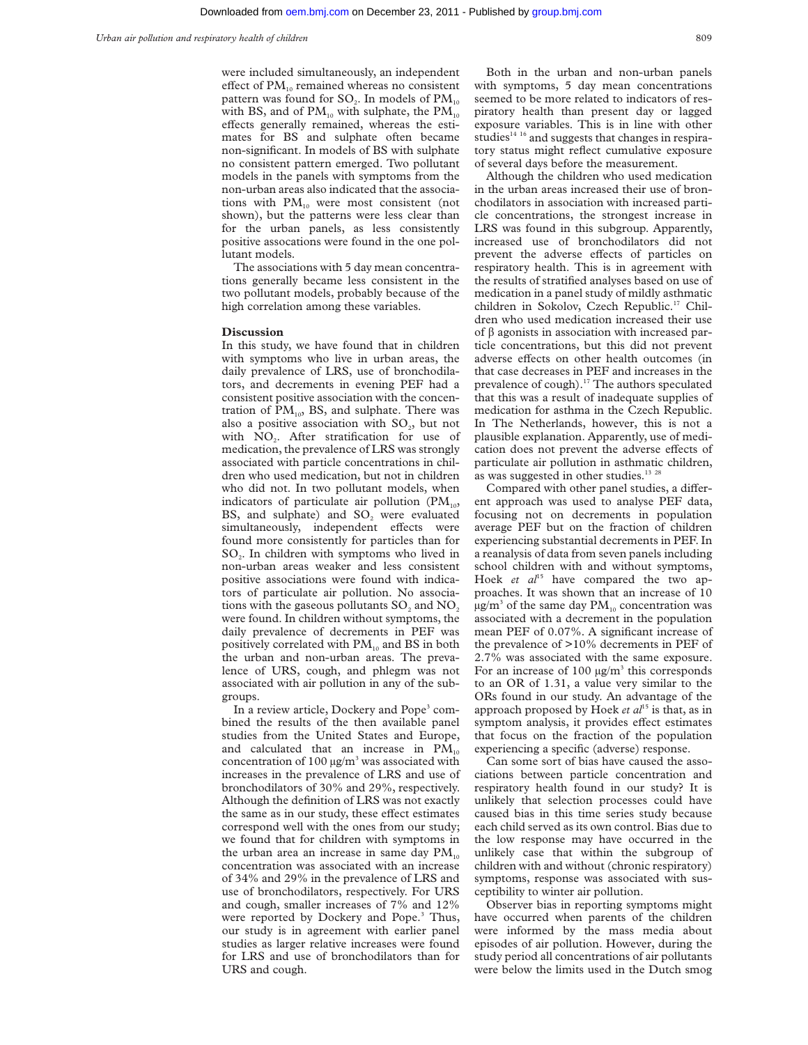were included simultaneously, an independent effect of  $PM_{10}$  remained whereas no consistent pattern was found for  $SO<sub>2</sub>$ . In models of  $PM<sub>10</sub>$ with BS, and of  $PM_{10}$  with sulphate, the  $PM_{10}$ effects generally remained, whereas the estimates for BS and sulphate often became non-significant. In models of BS with sulphate no consistent pattern emerged. Two pollutant models in the panels with symptoms from the non-urban areas also indicated that the associations with PM<sub>10</sub> were most consistent (not shown), but the patterns were less clear than for the urban panels, as less consistently positive assocations were found in the one pollutant models.

The associations with 5 day mean concentrations generally became less consistent in the two pollutant models, probably because of the high correlation among these variables.

#### **Discussion**

In this study, we have found that in children with symptoms who live in urban areas, the daily prevalence of LRS, use of bronchodilators, and decrements in evening PEF had a consistent positive association with the concentration of  $PM_{10}$ , BS, and sulphate. There was also a positive association with  $SO<sub>2</sub>$ , but not with  $NO<sub>2</sub>$ . After stratification for use of medication, the prevalence of LRS was strongly associated with particle concentrations in children who used medication, but not in children who did not. In two pollutant models, when indicators of particulate air pollution  $(PM_{10},$ BS, and sulphate) and  $SO<sub>2</sub>$  were evaluated simultaneously, independent effects were found more consistently for particles than for SO<sub>2</sub>. In children with symptoms who lived in non-urban areas weaker and less consistent positive associations were found with indicators of particulate air pollution. No associations with the gaseous pollutants  $SO<sub>2</sub>$  and  $NO<sub>2</sub>$ were found. In children without symptoms, the daily prevalence of decrements in PEF was positively correlated with  $PM_{10}$  and BS in both the urban and non-urban areas. The prevalence of URS, cough, and phlegm was not associated with air pollution in any of the subgroups.

In a review article, Dockery and Pope<sup>3</sup> combined the results of the then available panel studies from the United States and Europe, and calculated that an increase in  $PM_{10}$ concentration of 100  $\mu$ g/m<sup>3</sup> was associated with increases in the prevalence of LRS and use of bronchodilators of 30% and 29%, respectively. Although the definition of LRS was not exactly the same as in our study, these effect estimates correspond well with the ones from our study; we found that for children with symptoms in the urban area an increase in same day  $PM_{10}$ concentration was associated with an increase of 34% and 29% in the prevalence of LRS and use of bronchodilators, respectively. For URS and cough, smaller increases of 7% and 12% were reported by Dockery and Pope.<sup>3</sup> Thus, our study is in agreement with earlier panel studies as larger relative increases were found for LRS and use of bronchodilators than for URS and cough.

Both in the urban and non-urban panels with symptoms, 5 day mean concentrations seemed to be more related to indicators of respiratory health than present day or lagged exposure variables. This is in line with other studies $1416$  and suggests that changes in respiratory status might reflect cumulative exposure of several days before the measurement.

Although the children who used medication in the urban areas increased their use of bronchodilators in association with increased particle concentrations, the strongest increase in LRS was found in this subgroup. Apparently, increased use of bronchodilators did not prevent the adverse effects of particles on respiratory health. This is in agreement with the results of stratified analyses based on use of medication in a panel study of mildly asthmatic children in Sokolov, Czech Republic.<sup>17</sup> Children who used medication increased their use of  $\beta$  agonists in association with increased particle concentrations, but this did not prevent adverse effects on other health outcomes (in that case decreases in PEF and increases in the prevalence of cough).<sup>17</sup> The authors speculated that this was a result of inadequate supplies of medication for asthma in the Czech Republic. In The Netherlands, however, this is not a plausible explanation. Apparently, use of medication does not prevent the adverse effects of particulate air pollution in asthmatic children, as was suggested in other studies.<sup>13 28</sup>

Compared with other panel studies, a different approach was used to analyse PEF data, focusing not on decrements in population average PEF but on the fraction of children experiencing substantial decrements in PEF. In a reanalysis of data from seven panels including school children with and without symptoms, Hoek et al<sup>15</sup> have compared the two approaches. It was shown that an increase of 10  $\mu$ g/m<sup>3</sup> of the same day PM<sub>10</sub> concentration was associated with a decrement in the population mean PEF of 0.07%. A significant increase of the prevalence of >10% decrements in PEF of 2.7% was associated with the same exposure. For an increase of 100  $\mu$ g/m<sup>3</sup> this corresponds to an OR of 1.31, a value very similar to the ORs found in our study. An advantage of the approach proposed by Hoek *et al*<sup>15</sup> is that, as in symptom analysis, it provides effect estimates that focus on the fraction of the population experiencing a specific (adverse) response.

Can some sort of bias have caused the associations between particle concentration and respiratory health found in our study? It is unlikely that selection processes could have caused bias in this time series study because each child served as its own control. Bias due to the low response may have occurred in the unlikely case that within the subgroup of children with and without (chronic respiratory) symptoms, response was associated with susceptibility to winter air pollution.

Observer bias in reporting symptoms might have occurred when parents of the children were informed by the mass media about episodes of air pollution. However, during the study period all concentrations of air pollutants were below the limits used in the Dutch smog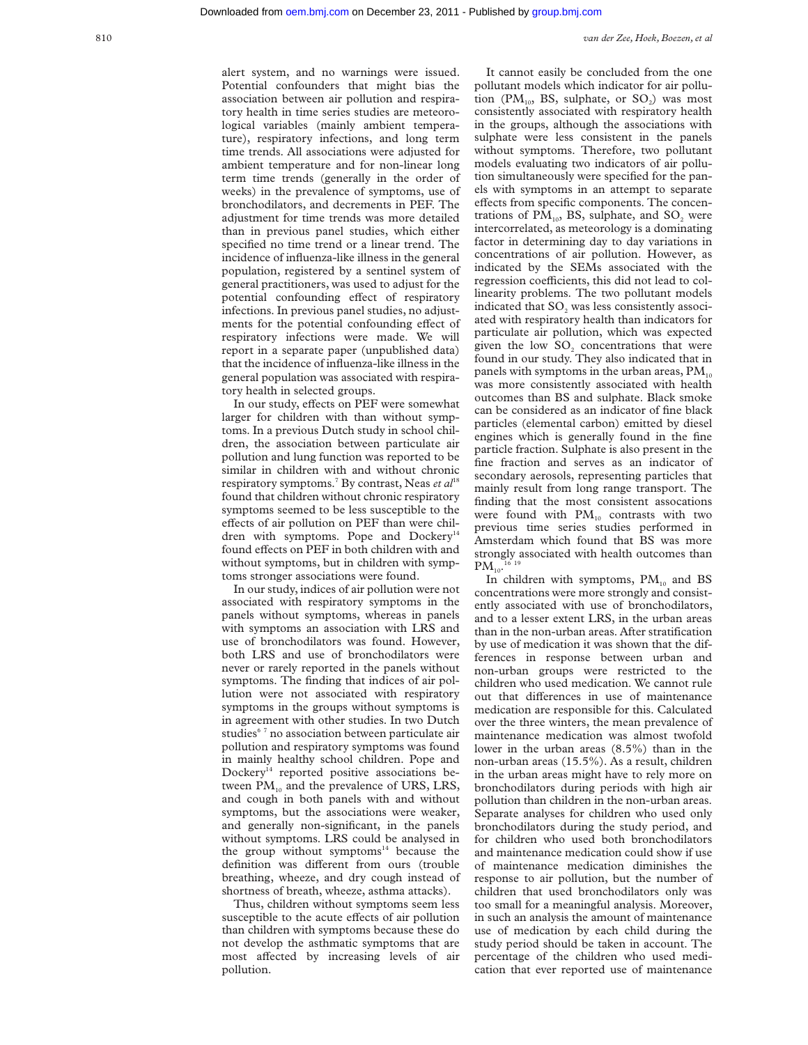alert system, and no warnings were issued. Potential confounders that might bias the association between air pollution and respiratory health in time series studies are meteorological variables (mainly ambient temperature), respiratory infections, and long term time trends. All associations were adjusted for ambient temperature and for non-linear long term time trends (generally in the order of weeks) in the prevalence of symptoms, use of bronchodilators, and decrements in PEF. The adjustment for time trends was more detailed than in previous panel studies, which either specified no time trend or a linear trend. The incidence of influenza-like illness in the general population, registered by a sentinel system of general practitioners, was used to adjust for the potential confounding effect of respiratory infections. In previous panel studies, no adjustments for the potential confounding effect of respiratory infections were made. We will report in a separate paper (unpublished data) that the incidence of influenza-like illness in the general population was associated with respiratory health in selected groups.

In our study, effects on PEF were somewhat larger for children with than without symptoms. In a previous Dutch study in school children, the association between particulate air pollution and lung function was reported to be similar in children with and without chronic respiratory symptoms.<sup>7</sup> By contrast, Neas *et al*<sup>18</sup> found that children without chronic respiratory symptoms seemed to be less susceptible to the effects of air pollution on PEF than were children with symptoms. Pope and Dockery<sup>14</sup> found effects on PEF in both children with and without symptoms, but in children with symptoms stronger associations were found.

In our study, indices of air pollution were not associated with respiratory symptoms in the panels without symptoms, whereas in panels with symptoms an association with LRS and use of bronchodilators was found. However, both LRS and use of bronchodilators were never or rarely reported in the panels without symptoms. The finding that indices of air pollution were not associated with respiratory symptoms in the groups without symptoms is in agreement with other studies. In two Dutch studies<sup>67</sup> no association between particulate air pollution and respiratory symptoms was found in mainly healthy school children. Pope and Dockery<sup>14</sup> reported positive associations between  $PM_{10}$  and the prevalence of URS, LRS, and cough in both panels with and without symptoms, but the associations were weaker, and generally non-significant, in the panels without symptoms. LRS could be analysed in the group without symptoms $14$  because the definition was different from ours (trouble breathing, wheeze, and dry cough instead of shortness of breath, wheeze, asthma attacks).

Thus, children without symptoms seem less susceptible to the acute effects of air pollution than children with symptoms because these do not develop the asthmatic symptoms that are most affected by increasing levels of air pollution.

It cannot easily be concluded from the one pollutant models which indicator for air pollution (PM<sub>10</sub>, BS, sulphate, or  $SO_2$ ) was most consistently associated with respiratory health in the groups, although the associations with sulphate were less consistent in the panels without symptoms. Therefore, two pollutant models evaluating two indicators of air pollution simultaneously were specified for the panels with symptoms in an attempt to separate effects from specific components. The concentrations of  $PM_{10}$ , BS, sulphate, and SO<sub>2</sub> were intercorrelated, as meteorology is a dominating factor in determining day to day variations in concentrations of air pollution. However, as indicated by the SEMs associated with the regression coefficients, this did not lead to collinearity problems. The two pollutant models indicated that SO<sub>2</sub> was less consistently associated with respiratory health than indicators for particulate air pollution, which was expected given the low SO<sub>2</sub> concentrations that were found in our study. They also indicated that in panels with symptoms in the urban areas,  $PM_{10}$ was more consistently associated with health outcomes than BS and sulphate. Black smoke can be considered as an indicator of fine black particles (elemental carbon) emitted by diesel engines which is generally found in the fine particle fraction. Sulphate is also present in the fine fraction and serves as an indicator of secondary aerosols, representing particles that mainly result from long range transport. The finding that the most consistent assocations were found with  $PM_{10}$  contrasts with two previous time series studies performed in Amsterdam which found that BS was more strongly associated with health outcomes than  $\text{PM}_{_{10}}$ .  $^{16-19}$ 

In children with symptoms,  $PM_{10}$  and BS concentrations were more strongly and consistently associated with use of bronchodilators, and to a lesser extent LRS, in the urban areas than in the non-urban areas. After stratification by use of medication it was shown that the differences in response between urban and non-urban groups were restricted to the children who used medication. We cannot rule out that differences in use of maintenance medication are responsible for this. Calculated over the three winters, the mean prevalence of maintenance medication was almost twofold lower in the urban areas (8.5%) than in the non-urban areas (15.5%). As a result, children in the urban areas might have to rely more on bronchodilators during periods with high air pollution than children in the non-urban areas. Separate analyses for children who used only bronchodilators during the study period, and for children who used both bronchodilators and maintenance medication could show if use of maintenance medication diminishes the response to air pollution, but the number of children that used bronchodilators only was too small for a meaningful analysis. Moreover, in such an analysis the amount of maintenance use of medication by each child during the study period should be taken in account. The percentage of the children who used medication that ever reported use of maintenance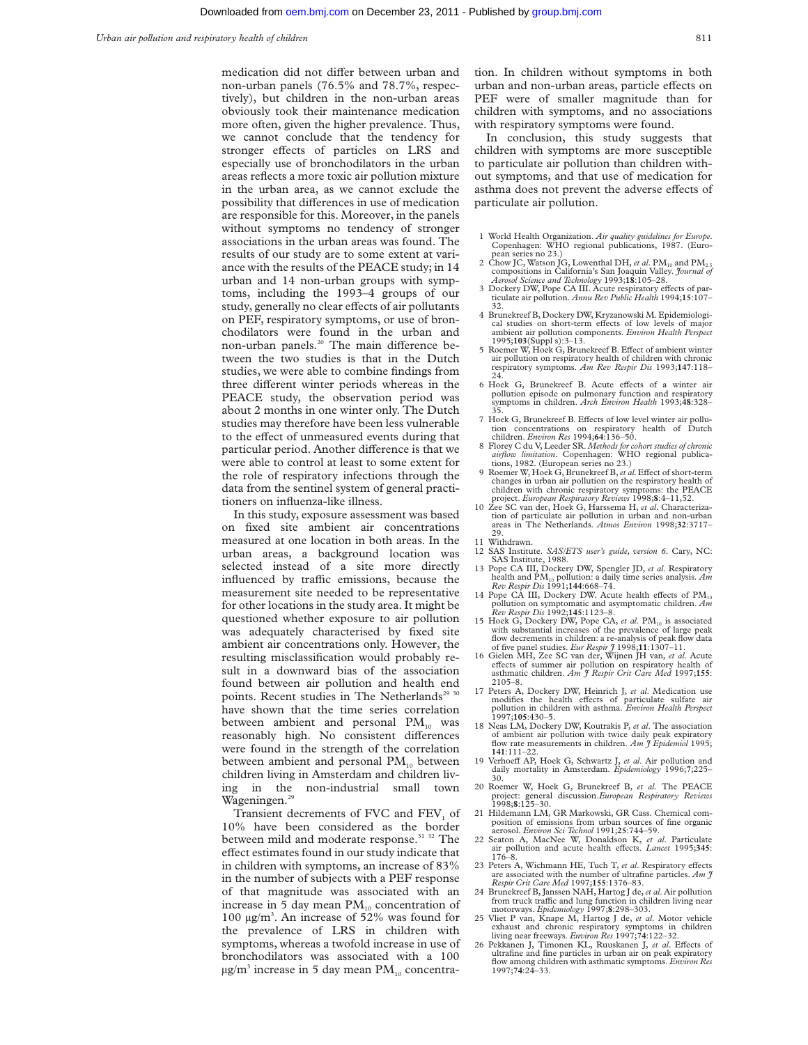medication did not differ between urban and non-urban panels (76.5% and 78.7%, respectively), but children in the non-urban areas obviously took their maintenance medication more often, given the higher prevalence. Thus, we cannot conclude that the tendency for stronger effects of particles on LRS and especially use of bronchodilators in the urban areas reflects a more toxic air pollution mixture in the urban area, as we cannot exclude the possibility that differences in use of medication are responsible for this. Moreover, in the panels without symptoms no tendency of stronger associations in the urban areas was found. The results of our study are to some extent at variance with the results of the PEACE study; in 14 urban and 14 non-urban groups with symptoms, including the 1993–4 groups of our study, generally no clear effects of air pollutants on PEF, respiratory symptoms, or use of bronchodilators were found in the urban and non-urban panels.<sup>20</sup> The main difference between the two studies is that in the Dutch studies, we were able to combine findings from three different winter periods whereas in the PEACE study, the observation period was about 2 months in one winter only. The Dutch studies may therefore have been less vulnerable to the effect of unmeasured events during that particular period. Another difference is that we were able to control at least to some extent for the role of respiratory infections through the data from the sentinel system of general practitioners on influenza-like illness.

In this study, exposure assessment was based on fixed site ambient air concentrations measured at one location in both areas. In the urban areas, a background location was selected instead of a site more directly influenced by traffic emissions, because the measurement site needed to be representative for other locations in the study area. It might be questioned whether exposure to air pollution was adequately characterised by fixed site ambient air concentrations only. However, the resulting misclassification would probably result in a downward bias of the association found between air pollution and health end points. Recent studies in The Netherlands<sup>29 30</sup> have shown that the time series correlation between ambient and personal  $PM_{10}$  was reasonably high. No consistent differences were found in the strength of the correlation between ambient and personal  $PM_{10}$  between children living in Amsterdam and children living in the non-industrial small town Wageningen.<sup>29</sup>

Transient decrements of FVC and  $FEV<sub>1</sub>$  of 10% have been considered as the border between mild and moderate response.<sup>31 32</sup> The effect estimates found in our study indicate that in children with symptoms, an increase of 83% in the number of subjects with a PEF response of that magnitude was associated with an increase in 5 day mean  $PM_{10}$  concentration of 100 µg/m3 . An increase of 52% was found for the prevalence of LRS in children with symptoms, whereas a twofold increase in use of bronchodilators was associated with a 100  $\mu$ g/m<sup>3</sup> increase in 5 day mean PM<sub>10</sub> concentration. In children without symptoms in both urban and non-urban areas, particle effects on PEF were of smaller magnitude than for children with symptoms, and no associations with respiratory symptoms were found.

In conclusion, this study suggests that children with symptoms are more susceptible to particulate air pollution than children without symptoms, and that use of medication for asthma does not prevent the adverse effects of particulate air pollution.

- 1 World Health Organization. *Air quality guidelines for Europe*. Copenhagen: WHO regional publications, 1987. (Euro-
- pean series no 23.)<br>2 Chow JC, Watson JG, Lowenthal DH, *et al.* PM<sub>10</sub> and PM<sub>2.5</sub> compositions in California's San Joaquin Valley. *Journal of*<br> *Aerosol Science and Technology* 1993;18:105–28.<br>
3 Dockery DW, Pope CA III. Acute respiratory effects of par-
- ticulate air pollution. *Annu Rev Public Health* 1994;**15**:107– 32.
- 4 Brunekreef B, Dockery DW, Kryzanowski M. Epidemiological studies on short-term effects of low levels of major ambient air pollution components. *Environ Health Perspect* 1995;**103**(Suppl s):3–13.
- 5 Roemer W, Hoek G, Brunekreef B. Effect of ambient winter air pollution on respiratory health of children with chronic respiratory symptoms. *Am Rev Respir Dis* 1993;**147**:118–
- 24. 6 Hoek G, Brunekreef B. Acute effects of a winter air<br>pollution episode on pulmonary function and respiratory<br>symptoms in children. *Arch Environ Health* 1993;48:328–
- 35.<br>7 Hoek G, Brunekreef B. Effects of low level winter air pollution concentrations on respiratory health of Dutch children. *Environ Res* 1994;**64**:136–50.
- 8 Florey C du V, Leeder SR. *Methods for cohort studies of chronic airflow limitation*. Copenhagen: WHO regional publica-tions, 1982. (European series no 23.)
- 9 Roemer W, Hoek G, Brunekreef B, et al. Effect of short-term changes in urban air pollution on the respiratory health of children with chronic respiratory symptoms: the PEACE project. *European Respiratory Reviews* 1998;**8**:4–11,52.
- 10 Zee SC van der, Hoek G, Harssema H, *et al*. Characterization of particulate air pollution in urban and non-urban areas in The Netherlands. *Atmos Environ* 1998;**32**:3717– 29. 11 Withdrawn.
- 12 SAS Institute. *SAS/ETS user's guide, version 6*. Cary, NC: SAS Institute, 1988.
- 13 Pope CA III, Dockery DW, Spengler JD, *et al*. Respiratory health and PM10 pollution: a daily time series analysis. *Am Rev Respir Dis* 1991;**144**:668–74.
- 14 Pope CA III, Dockery DW. Acute health effects of  $PM_{10}$
- pollution on symptomatic and asymptomatic children. Am<br>  $Rev$  Respir Dis 1992;145:1123-8.<br>
15 Hoek G, Dockery DW, Pope CA, et al. PM<sub>10</sub> is associated<br>
with substantial increases of the prevalence of large peak flow decrements in children: a re-analysis of peak flow data
- of five panel studies. *Eur Respir*  $\tilde{\jmath}$  1998;11:1307-11.<br>16 Gielen MH, Zee SC van der, Wijnen JH van, *et al.* Acute effects of summer air pollution on respiratory health of asthmatic children. *Am*  $\tilde{\jmath}$  *Respi*
- 17 Peters A, Dockery DW, Heinrich J, *et al*. Medication use modifies the health effects of particulate sulfate air<br>pollution in children with asthma. *Environ Health Perspect*<br>1997;105:430–5.
- 18 Neas LM, Dockery DW, Koutrakis P, *et al*. The association of ambient air pollution with twice daily peak expiratory flow rate measurements in children. *Am J Epidemiol* 1995; **<sup>141</sup>**:111–22.
- 19 Verhoeff AP, Hoek G, Schwartz J, et al. Air pollution and daily mortality in Amsterdam. *Epidemiology* 1996;**7**;225– 30.
- 20 Roemer W, Hoek G, Brunekreef B, *et al.* The PEACE project: general discussion.*European Respiratory Reviews* 1998;**8**:125–30.
- 21 Hildemann LM, GR Markowski, GR Cass. Chemical composition of emissions from urban sources of fine organic aerosol. *Environ Sci Technol* 1991;**25**:744–59.
- 22 Seaton A, MacNee W, Donaldson K, *et al*. Particulate air pollution and acute health effects. *Lancet* 1995;345: 176–8.
- 23 Peters A, Wichmann HE, Tuch T, et al. Respiratory effects are associated with the number of ultrafine particles. *Am J Respir Crit Care Med* 1997;**155**:1376–83.
- 24 Brunekreef B, Janssen NAH, Hartog J de,*et al*. Air pollution from truck traffic and lung function in children living near<br>motorways. *Epidemiology* 1997;**8**:298–303.
- 25 Vliet P van, Knape M, Hartog J de, *et al*. Motor vehicle exhaust and chronic respiratory symptoms in children<br>living near freeways. *Environ Res* 1997;**74**:122–32.<br>26 Pekkanen J, Timonen KL, Ruuskanen J, *et al*. Effects of
- ultrafine and fine particles in urban air on peak expiratory flow among children with asthmatic symptoms. *Environ Res* 1997;**74**:24–33.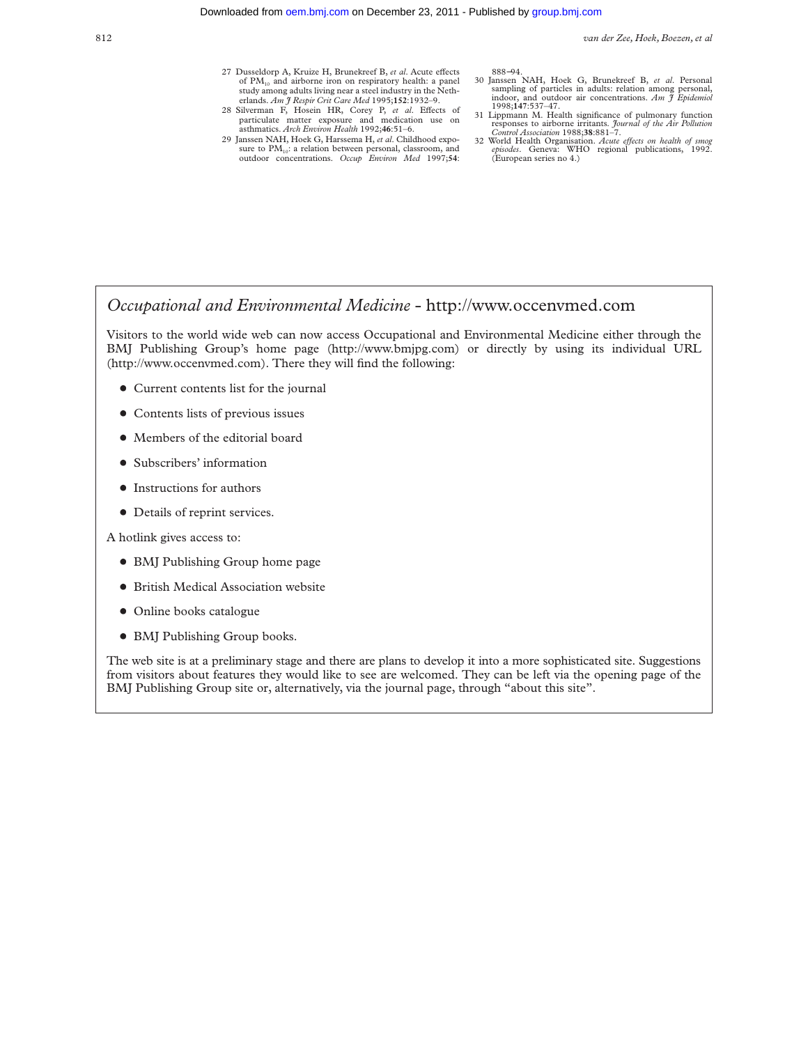- 27 Dusseldorp A, Kruize H, Brunekreef B, et al. Acute effects of PM<sub>10</sub> and airborne iron on respiratory health: a panel study among adults living near a steel industry in the Netherlands. *Am J Respir Crit Care Med* 1995;**152**:1932–9.
- 28 Silverman F, Hosein HR, Corey P, et al. Effects of particulate matter exposure and medication use on asthmatics. *Arch Environ Health* 1992;**46**:51–6.
- 29 Janssen NAH, Hoek G, Harssema H, *et al*. Childhood exposure to PM<sub>10</sub>: a relation between personal, classroom, and outdoor concentrations. *Occup Environ Med* 1997;**54**:

888−94.

- 30 Janssen NAH, Hoek G, Brunekreef B, *et al*. Personal sampling of particles in adults: relation among personal, indoor, and outdoor air concentrations. *Am J Epidemiol* 1998;**147**:537–47.
- 31 Lippmann M. Health significance of pulmonary function responses to airborne irritants. *Journal of the Air Pollution Control Association* 1988;**38**:881–7.
- 32 World Health Organisation. *Acute eVects on health of smog episodes*. Geneva: WHO regional publications, 1992. (European series no 4.)

# *Occupational and Environmental Medicine* - http://www.occenvmed.com

Visitors to the world wide web can now access Occupational and Environmental Medicine either through the BMJ Publishing Group's home page (http://www.bmjpg.com) or directly by using its individual URL (http://www.occenvmed.com). There they will find the following:

- Current contents list for the journal
- Contents lists of previous issues
- Members of the editorial board
- Subscribers' information
- $\bullet$  Instructions for authors
- Details of reprint services.

A hotlink gives access to:

- BMJ Publishing Group home page
- British Medical Association website
- Online books catalogue
- BMJ Publishing Group books.

The web site is at a preliminary stage and there are plans to develop it into a more sophisticated site. Suggestions from visitors about features they would like to see are welcomed. They can be left via the opening page of the BMJ Publishing Group site or, alternatively, via the journal page, through "about this site".